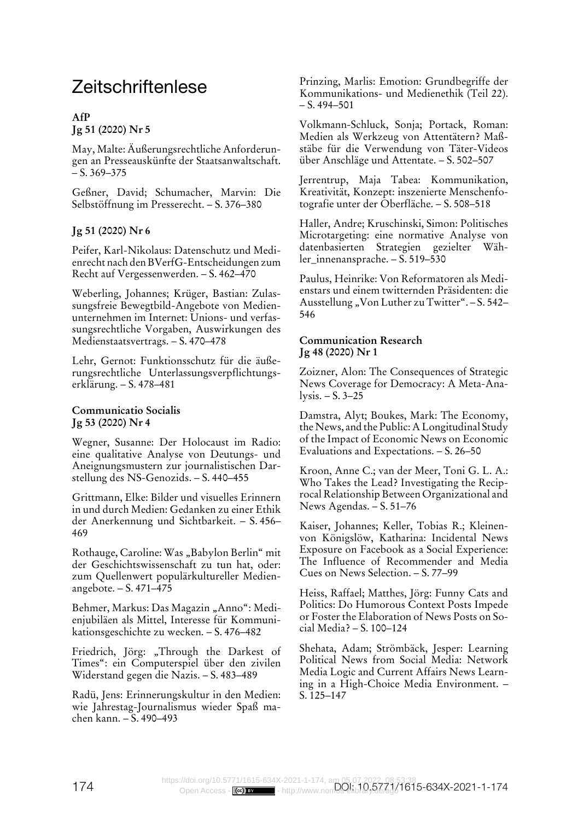# Zeitschriftenlese

# **AfP Jg 51 (2020) Nr 5**

May, Malte: Äußerungsrechtliche Anforderungen an Presseauskünfte der Staatsanwaltschaft.  $- S. 369 - 375$ 

Geßner, David; Schumacher, Marvin: Die Selbstöffnung im Presserecht. – S. 376–380

# **Jg 51 (2020) Nr 6**

Peifer, Karl-Nikolaus: Datenschutz und Medienrecht nach den BVerfG-Entscheidungen zum Recht auf Vergessenwerden. – S. 462–470

Weberling, Johannes; Krüger, Bastian: Zulassungsfreie Bewegtbild-Angebote von Medienunternehmen im Internet: Unions- und verfassungsrechtliche Vorgaben, Auswirkungen des Medienstaatsvertrags. – S. 470–478

Lehr, Gernot: Funktionsschutz für die äußerungsrechtliche Unterlassungsverpflichtungserklärung. – S. 478–481

#### **Communicatio Socialis Jg 53 (2020) Nr 4**

Wegner, Susanne: Der Holocaust im Radio: eine qualitative Analyse von Deutungs- und Aneignungsmustern zur journalistischen Darstellung des NS-Genozids. – S. 440–455

Grittmann, Elke: Bilder und visuelles Erinnern in und durch Medien: Gedanken zu einer Ethik der Anerkennung und Sichtbarkeit. – S. 456– 469

Rothauge, Caroline: Was "Babylon Berlin" mit der Geschichtswissenschaft zu tun hat, oder: zum Quellenwert populärkultureller Medienangebote. – S. 471–475

Behmer, Markus: Das Magazin "Anno": Medienjubiläen als Mittel, Interesse für Kommunikationsgeschichte zu wecken. – S. 476–482

Friedrich, Jörg: "Through the Darkest of Times": ein Computerspiel über den zivilen Widerstand gegen die Nazis. – S. 483–489

Radü, Jens: Erinnerungskultur in den Medien: wie Jahrestag-Journalismus wieder Spaß machen kann. – S. 490–493

Prinzing, Marlis: Emotion: Grundbegriffe der Kommunikations- und Medienethik (Teil 22).  $- S. 494 - 501$ 

Volkmann-Schluck, Sonja; Portack, Roman: Medien als Werkzeug von Attentätern? Maßstäbe für die Verwendung von Täter-Videos über Anschläge und Attentate. – S. 502–507

Jerrentrup, Maja Tabea: Kommunikation, Kreativität, Konzept: inszenierte Menschenfotografie unter der Oberfläche. – S. 508–518

Haller, Andre; Kruschinski, Simon: Politisches Microtargeting: eine normative Analyse von datenbasierten Strategien gezielter Wähler\_innenansprache. – S. 519–530

Paulus, Heinrike: Von Reformatoren als Medienstars und einem twitternden Präsidenten: die Ausstellung "Von Luther zu Twitter". - S. 542-546

#### **Communication Research Jg 48 (2020) Nr 1**

Zoizner, Alon: The Consequences of Strategic News Coverage for Democracy: A Meta-Analysis. –  $S. 3-25$ 

Damstra, Alyt; Boukes, Mark: The Economy, the News, and the Public: A Longitudinal Study of the Impact of Economic News on Economic Evaluations and Expectations. – S. 26–50

Kroon, Anne C.; van der Meer, Toni G. L. A.: Who Takes the Lead? Investigating the Reciprocal Relationship Between Organizational and News Agendas. – S. 51–76

Kaiser, Johannes; Keller, Tobias R.; Kleinenvon Königslöw, Katharina: Incidental News Exposure on Facebook as a Social Experience: The Influence of Recommender and Media Cues on News Selection. – S. 77–99

Heiss, Raffael; Matthes, Jörg: Funny Cats and Politics: Do Humorous Context Posts Impede or Foster the Elaboration of News Posts on Social Media? – S. 100–124

Shehata, Adam; Strömbäck, Jesper: Learning Political News from Social Media: Network Media Logic and Current Affairs News Learning in a High-Choice Media Environment. – S. 125–147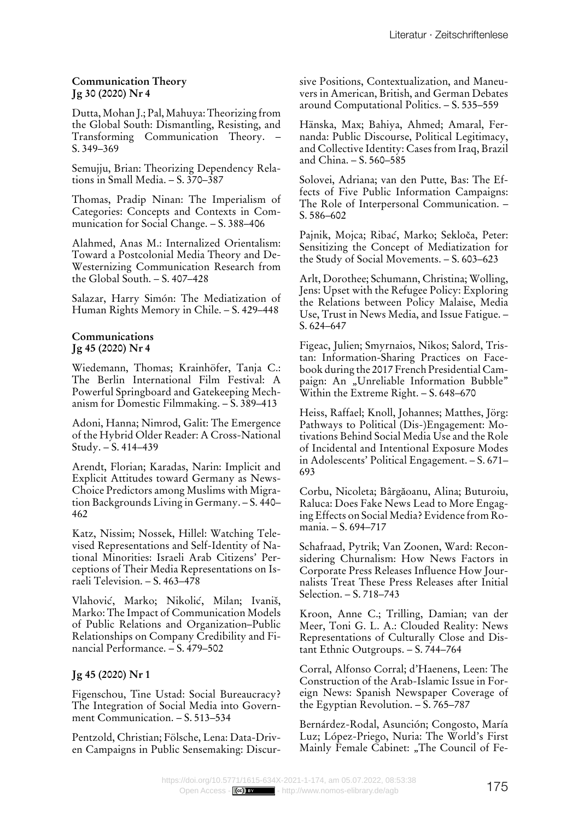#### **Communication Theory Jg 30 (2020) Nr 4**

Dutta, Mohan J.; Pal, Mahuya: Theorizing from the Global South: Dismantling, Resisting, and Transforming Communication Theory. – S. 349–369

Semujju, Brian: Theorizing Dependency Relations in Small Media. – S. 370–387

Thomas, Pradip Ninan: The Imperialism of Categories: Concepts and Contexts in Communication for Social Change. – S. 388–406

Alahmed, Anas M.: Internalized Orientalism: Toward a Postcolonial Media Theory and De-Westernizing Communication Research from the Global South. – S. 407–428

Salazar, Harry Simón: The Mediatization of Human Rights Memory in Chile. – S. 429–448

#### **Communications Jg 45 (2020) Nr 4**

Wiedemann, Thomas; Krainhöfer, Tanja C.: The Berlin International Film Festival: A Powerful Springboard and Gatekeeping Mechanism for Domestic Filmmaking. – S. 389–413

Adoni, Hanna; Nimrod, Galit: The Emergence of the Hybrid Older Reader: A Cross-National Study. – S. 414–439

Arendt, Florian; Karadas, Narin: Implicit and Explicit Attitudes toward Germany as News-Choice Predictors among Muslims with Migration Backgrounds Living in Germany. – S. 440– 462

Katz, Nissim; Nossek, Hillel: Watching Televised Representations and Self-Identity of National Minorities: Israeli Arab Citizens' Perceptions of Their Media Representations on Israeli Television. – S. 463–478

Vlahović, Marko; Nikolić, Milan; Ivaniš, Marko: The Impact of Communication Models of Public Relations and Organization–Public Relationships on Company Credibility and Financial Performance. – S. 479–502

# **Jg 45 (2020) Nr 1**

Figenschou, Tine Ustad: Social Bureaucracy? The Integration of Social Media into Government Communication. – S. 513–534

Pentzold, Christian; Fölsche, Lena: Data-Driven Campaigns in Public Sensemaking: Discursive Positions, Contextualization, and Maneuvers in American, British, and German Debates around Computational Politics. – S. 535–559

Hänska, Max; Bahiya, Ahmed; Amaral, Fernanda: Public Discourse, Political Legitimacy, and Collective Identity: Cases from Iraq, Brazil and China. – S. 560–585

Solovei, Adriana; van den Putte, Bas: The Effects of Five Public Information Campaigns: The Role of Interpersonal Communication. – S. 586–602

Pajnik, Mojca; Ribać, Marko; Sekloča, Peter: Sensitizing the Concept of Mediatization for the Study of Social Movements. – S. 603–623

Arlt, Dorothee; Schumann, Christina; Wolling, Jens: Upset with the Refugee Policy: Exploring the Relations between Policy Malaise, Media Use, Trust in News Media, and Issue Fatigue. – S. 624–647

Figeac, Julien; Smyrnaios, Nikos; Salord, Tristan: Information-Sharing Practices on Facebook during the 2017 French Presidential Campaign: An "Unreliable Information Bubble" Within the Extreme Right. – S. 648–670

Heiss, Raffael; Knoll, Johannes; Matthes, Jörg: Pathways to Political (Dis-)Engagement: Motivations Behind Social Media Use and the Role of Incidental and Intentional Exposure Modes in Adolescents' Political Engagement. – S. 671– 693

Corbu, Nicoleta; Bârgăoanu, Alina; Buturoiu, Raluca: Does Fake News Lead to More Engaging Effects on Social Media? Evidence from Romania. – S. 694–717

Schafraad, Pytrik; Van Zoonen, Ward: Reconsidering Churnalism: How News Factors in Corporate Press Releases Influence How Journalists Treat These Press Releases after Initial Selection. – S. 718–743

Kroon, Anne C.; Trilling, Damian; van der Meer, Toni G. L. A.: Clouded Reality: News Representations of Culturally Close and Distant Ethnic Outgroups. – S. 744–764

Corral, Alfonso Corral; d'Haenens, Leen: The Construction of the Arab-Islamic Issue in Foreign News: Spanish Newspaper Coverage of the Egyptian Revolution. – S. 765–787

Bernárdez-Rodal, Asunción; Congosto, María Luz; López-Priego, Nuria: The World's First Mainly Female Cabinet: "The Council of Fe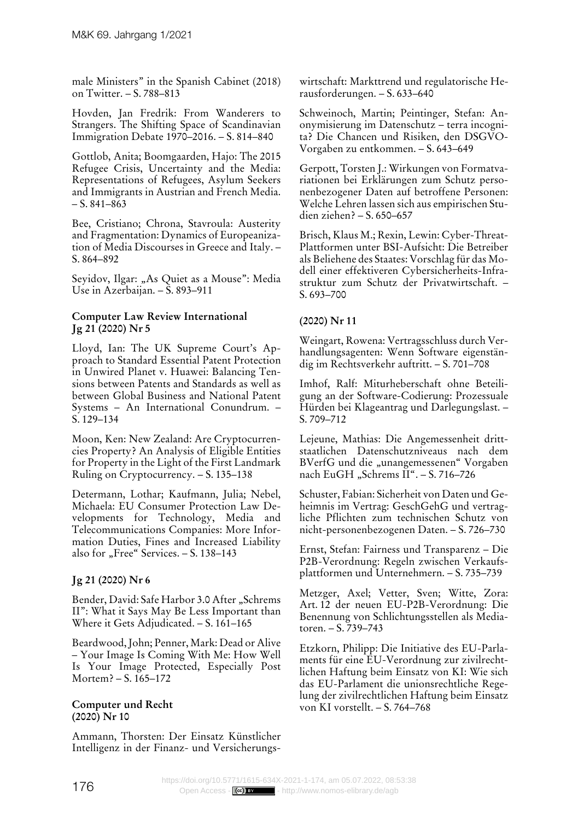male Ministers" in the Spanish Cabinet (2018) on Twitter. – S. 788–813

Hovden, Jan Fredrik: From Wanderers to Strangers. The Shifting Space of Scandinavian Immigration Debate 1970–2016. – S. 814–840

Gottlob, Anita; Boomgaarden, Hajo: The 2015 Refugee Crisis, Uncertainty and the Media: Representations of Refugees, Asylum Seekers and Immigrants in Austrian and French Media.  $- S. 841 - 863$ 

Bee, Cristiano; Chrona, Stavroula: Austerity and Fragmentation: Dynamics of Europeanization of Media Discourses in Greece and Italy. – S. 864–892

Seyidov, Ilgar: "As Quiet as a Mouse": Media Use in Azerbaijan. – S. 893–911

## **Computer Law Review International Jg 21 (2020) Nr 5**

Lloyd, Ian: The UK Supreme Court's Approach to Standard Essential Patent Protection in Unwired Planet v. Huawei: Balancing Tensions between Patents and Standards as well as between Global Business and National Patent Systems – An International Conundrum. – S. 129–134

Moon, Ken: New Zealand: Are Cryptocurrencies Property? An Analysis of Eligible Entities for Property in the Light of the First Landmark Ruling on Cryptocurrency. – S. 135–138

Determann, Lothar; Kaufmann, Julia; Nebel, Michaela: EU Consumer Protection Law Developments for Technology, Media and Telecommunications Companies: More Information Duties, Fines and Increased Liability also for "Free" Services. - S. 138-143

# **Jg 21 (2020) Nr 6**

Bender, David: Safe Harbor 3.0 After "Schrems II": What it Says May Be Less Important than Where it Gets Adjudicated. – S. 161–165

Beardwood, John; Penner, Mark: Dead or Alive – Your Image Is Coming With Me: How Well Is Your Image Protected, Especially Post Mortem? – S. 165–172

#### **Computer und Recht (2020) Nr 10**

Ammann, Thorsten: Der Einsatz Künstlicher Intelligenz in der Finanz- und Versicherungswirtschaft: Markttrend und regulatorische Herausforderungen. – S. 633–640

Schweinoch, Martin; Peintinger, Stefan: Anonymisierung im Datenschutz – terra incognita? Die Chancen und Risiken, den DSGVO-Vorgaben zu entkommen. – S. 643–649

Gerpott, Torsten J.: Wirkungen von Formatvariationen bei Erklärungen zum Schutz personenbezogener Daten auf betroffene Personen: Welche Lehren lassen sich aus empirischen Studien ziehen? – S. 650–657

Brisch, Klaus M.; Rexin, Lewin: Cyber-Threat-Plattformen unter BSI-Aufsicht: Die Betreiber als Beliehene des Staates: Vorschlag für das Modell einer effektiveren Cybersicherheits-Infrastruktur zum Schutz der Privatwirtschaft. – S. 693–700

# **(2020) Nr 11**

Weingart, Rowena: Vertragsschluss durch Verhandlungsagenten: Wenn Software eigenständig im Rechtsverkehr auftritt. – S. 701–708

Imhof, Ralf: Miturheberschaft ohne Beteiligung an der Software-Codierung: Prozessuale Hürden bei Klageantrag und Darlegungslast. – S. 709–712

Lejeune, Mathias: Die Angemessenheit drittstaatlichen Datenschutzniveaus nach dem BVerfG und die "unangemessenen" Vorgaben nach EuGH "Schrems II". - S. 716-726

Schuster, Fabian: Sicherheit von Daten und Geheimnis im Vertrag: GeschGehG und vertragliche Pflichten zum technischen Schutz von nicht-personenbezogenen Daten. – S. 726–730

Ernst, Stefan: Fairness und Transparenz – Die P2B-Verordnung: Regeln zwischen Verkaufsplattformen und Unternehmern. – S. 735–739

Metzger, Axel; Vetter, Sven; Witte, Zora: Art. 12 der neuen EU-P2B-Verordnung: Die Benennung von Schlichtungsstellen als Mediatoren. – S. 739–743

Etzkorn, Philipp: Die Initiative des EU-Parlaments für eine EU-Verordnung zur zivilrechtlichen Haftung beim Einsatz von KI: Wie sich das EU-Parlament die unionsrechtliche Regelung der zivilrechtlichen Haftung beim Einsatz von KI vorstellt. – S. 764–768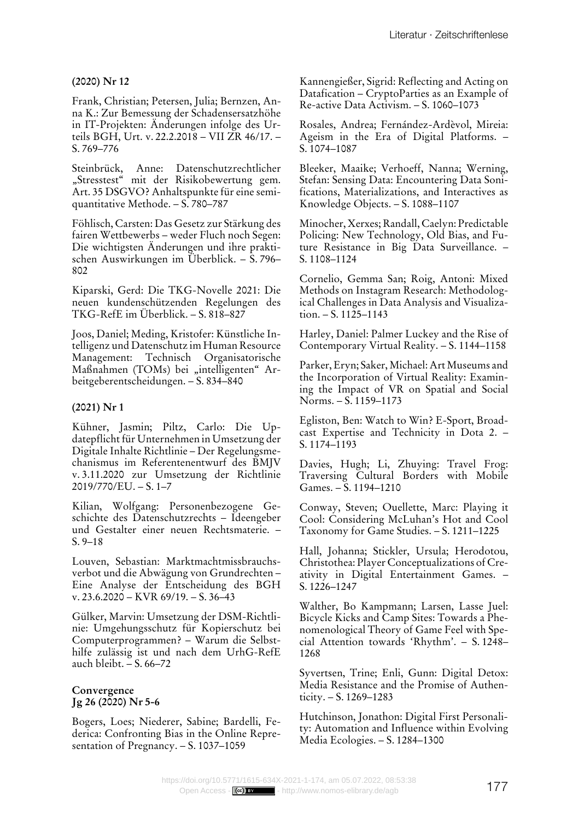## **(2020) Nr 12**

Frank, Christian; Petersen, Julia; Bernzen, Anna K.: Zur Bemessung der Schadensersatzhöhe in IT-Projekten: Änderungen infolge des Urteils BGH, Urt. v. 22.2.2018 – VII ZR 46/17. – S. 769–776

Steinbrück, Anne: Datenschutzrechtlicher "Stresstest" mit der Risikobewertung gem. Art. 35 DSGVO? Anhaltspunkte für eine semiquantitative Methode. – S. 780–787

Föhlisch, Carsten: Das Gesetz zur Stärkung des fairen Wettbewerbs – weder Fluch noch Segen: Die wichtigsten Änderungen und ihre praktischen Auswirkungen im Überblick. – S. 796– 802

Kiparski, Gerd: Die TKG-Novelle 2021: Die neuen kundenschützenden Regelungen des TKG-RefE im Überblick. – S. 818–827

Joos, Daniel; Meding, Kristofer: Künstliche Intelligenz und Datenschutz im Human Resource Management: Technisch Organisatorische Maßnahmen (TOMs) bei "intelligenten" Arbeitgeberentscheidungen. – S. 834–840

# **(2021) Nr 1**

Kühner, Jasmin; Piltz, Carlo: Die Updatepflicht für Unternehmen in Umsetzung der Digitale Inhalte Richtlinie – Der Regelungsmechanismus im Referentenentwurf des BMJV v. 3.11.2020 zur Umsetzung der Richtlinie 2019/770/EU. – S. 1–7

Kilian, Wolfgang: Personenbezogene Geschichte des Datenschutzrechts – Ideengeber und Gestalter einer neuen Rechtsmaterie. – S. 9–18

Louven, Sebastian: Marktmachtmissbrauchsverbot und die Abwägung von Grundrechten – Eine Analyse der Entscheidung des BGH v. 23.6.2020 – KVR 69/19. – S. 36–43

Gülker, Marvin: Umsetzung der DSM-Richtlinie: Umgehungsschutz für Kopierschutz bei Computerprogrammen? – Warum die Selbsthilfe zulässig ist und nach dem UrhG-RefE auch bleibt. – S. 66–72

## **Convergence Jg 26 (2020) Nr 5-6**

Bogers, Loes; Niederer, Sabine; Bardelli, Federica: Confronting Bias in the Online Representation of Pregnancy. – S. 1037–1059

Kannengießer, Sigrid: Reflecting and Acting on Datafication – CryptoParties as an Example of Re-active Data Activism. – S. 1060–1073

Rosales, Andrea; Fernández-Ardèvol, Mireia: Ageism in the Era of Digital Platforms. – S. 1074–1087

Bleeker, Maaike; Verhoeff, Nanna; Werning, Stefan: Sensing Data: Encountering Data Sonifications, Materializations, and Interactives as Knowledge Objects. – S. 1088–1107

Minocher, Xerxes; Randall, Caelyn: Predictable Policing: New Technology, Old Bias, and Future Resistance in Big Data Surveillance. – S. 1108–1124

Cornelio, Gemma San; Roig, Antoni: Mixed Methods on Instagram Research: Methodological Challenges in Data Analysis and Visualization.  $- S. 1125 - 1143$ 

Harley, Daniel: Palmer Luckey and the Rise of Contemporary Virtual Reality. – S. 1144–1158

Parker, Eryn; Saker, Michael: Art Museums and the Incorporation of Virtual Reality: Examining the Impact of VR on Spatial and Social Norms. – S. 1159–1173

Egliston, Ben: Watch to Win? E-Sport, Broadcast Expertise and Technicity in Dota 2. – S. 1174–1193

Davies, Hugh; Li, Zhuying: Travel Frog: Traversing Cultural Borders with Mobile Games. – S. 1194–1210

Conway, Steven; Ouellette, Marc: Playing it Cool: Considering McLuhan's Hot and Cool Taxonomy for Game Studies. – S. 1211–1225

Hall, Johanna; Stickler, Ursula; Herodotou, Christothea: Player Conceptualizations of Creativity in Digital Entertainment Games. – S. 1226–1247

Walther, Bo Kampmann; Larsen, Lasse Juel: Bicycle Kicks and Camp Sites: Towards a Phenomenological Theory of Game Feel with Special Attention towards 'Rhythm'. – S. 1248– 1268

Syvertsen, Trine; Enli, Gunn: Digital Detox: Media Resistance and the Promise of Authenticity. – S. 1269–1283

Hutchinson, Jonathon: Digital First Personality: Automation and Influence within Evolving Media Ecologies. – S. 1284–1300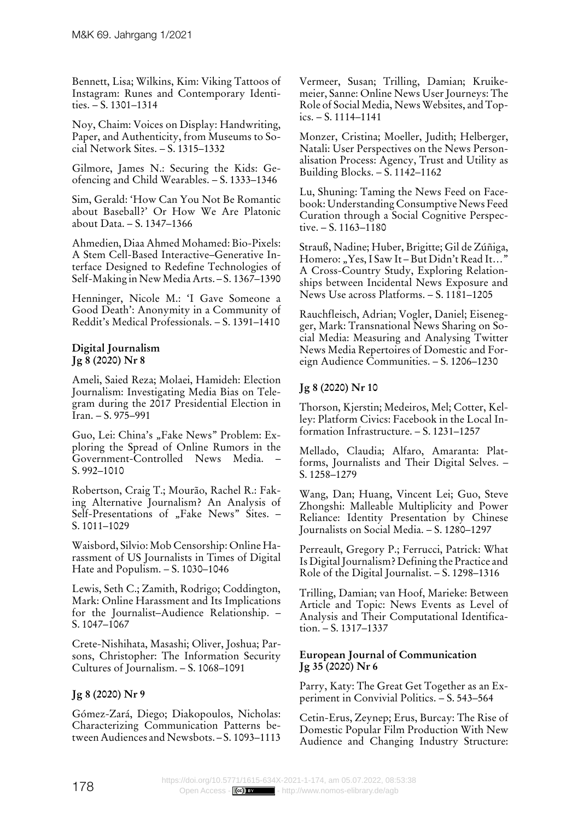Bennett, Lisa; Wilkins, Kim: Viking Tattoos of Instagram: Runes and Contemporary Identities.  $- S. 1301 - 1314$ 

Noy, Chaim: Voices on Display: Handwriting, Paper, and Authenticity, from Museums to Social Network Sites. – S. 1315–1332

Gilmore, James N.: Securing the Kids: Geofencing and Child Wearables. – S. 1333–1346

Sim, Gerald: 'How Can You Not Be Romantic about Baseball?' Or How We Are Platonic about Data. – S. 1347–1366

Ahmedien, Diaa Ahmed Mohamed: Bio-Pixels: A Stem Cell-Based Interactive–Generative Interface Designed to Redefine Technologies of Self-Making in New Media Arts. – S. 1367–1390

Henninger, Nicole M.: 'I Gave Someone a Good Death': Anonymity in a Community of Reddit's Medical Professionals. – S. 1391–1410

# **Digital Journalism Jg 8 (2020) Nr 8**

Ameli, Saied Reza; Molaei, Hamideh: Election Journalism: Investigating Media Bias on Telegram during the 2017 Presidential Election in Iran. – S. 975–991

Guo, Lei: China's "Fake News" Problem: Exploring the Spread of Online Rumors in the Government-Controlled News Media. – S. 992–1010

Robertson, Craig T.; Mourão, Rachel R.: Faking Alternative Journalism? An Analysis of Self-Presentations of "Fake News" Sites. -S. 1011–1029

Waisbord, Silvio: Mob Censorship: Online Harassment of US Journalists in Times of Digital Hate and Populism. – S. 1030–1046

Lewis, Seth C.; Zamith, Rodrigo; Coddington, Mark: Online Harassment and Its Implications for the Journalist–Audience Relationship. – S. 1047–1067

Crete-Nishihata, Masashi; Oliver, Joshua; Parsons, Christopher: The Information Security Cultures of Journalism. – S. 1068–1091

# **Jg 8 (2020) Nr 9**

Gómez-Zará, Diego; Diakopoulos, Nicholas: Characterizing Communication Patterns between Audiences and Newsbots. – S. 1093–1113

Vermeer, Susan; Trilling, Damian; Kruikemeier, Sanne: Online News User Journeys: The Role of Social Media, News Websites, and Topics. – S. 1114–1141

Monzer, Cristina; Moeller, Judith; Helberger, Natali: User Perspectives on the News Personalisation Process: Agency, Trust and Utility as Building Blocks. – S. 1142–1162

Lu, Shuning: Taming the News Feed on Facebook: Understanding Consumptive News Feed Curation through a Social Cognitive Perspective. – S. 1163–1180

Strauß, Nadine; Huber, Brigitte; Gil de Zúñiga, Homero: "Yes, I Saw It-But Didn't Read It..." A Cross-Country Study, Exploring Relationships between Incidental News Exposure and News Use across Platforms. – S. 1181–1205

Rauchfleisch, Adrian; Vogler, Daniel; Eisenegger, Mark: Transnational News Sharing on Social Media: Measuring and Analysing Twitter News Media Repertoires of Domestic and Foreign Audience Communities. – S. 1206–1230

# **Jg 8 (2020) Nr 10**

Thorson, Kjerstin; Medeiros, Mel; Cotter, Kelley: Platform Civics: Facebook in the Local Information Infrastructure. – S. 1231–1257

Mellado, Claudia; Alfaro, Amaranta: Platforms, Journalists and Their Digital Selves. – S. 1258–1279

Wang, Dan; Huang, Vincent Lei; Guo, Steve Zhongshi: Malleable Multiplicity and Power Reliance: Identity Presentation by Chinese Journalists on Social Media. – S. 1280–1297

Perreault, Gregory P.; Ferrucci, Patrick: What Is Digital Journalism? Defining the Practice and Role of the Digital Journalist. – S. 1298–1316

Trilling, Damian; van Hoof, Marieke: Between Article and Topic: News Events as Level of Analysis and Their Computational Identification. – S. 1317–1337

## **European Journal of Communication Jg 35 (2020) Nr 6**

Parry, Katy: The Great Get Together as an Experiment in Convivial Politics. – S. 543–564

Cetin-Erus, Zeynep; Erus, Burcay: The Rise of Domestic Popular Film Production With New Audience and Changing Industry Structure: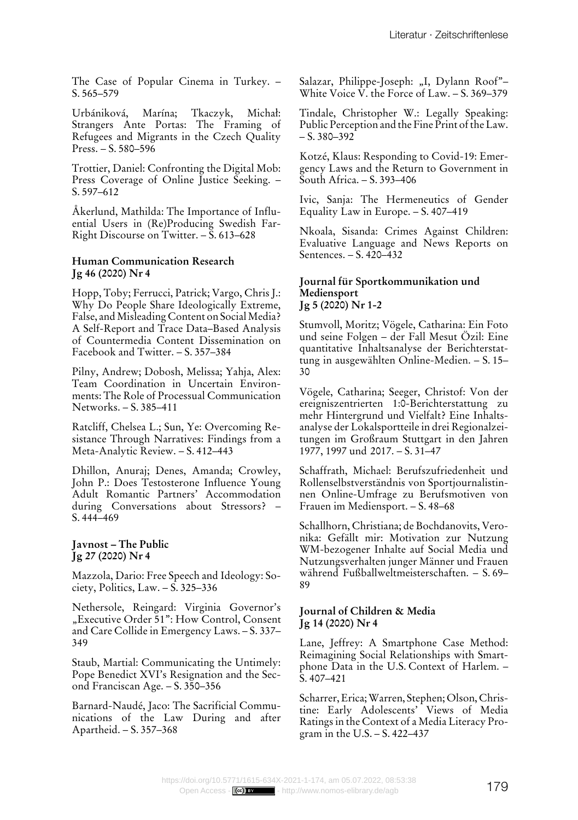The Case of Popular Cinema in Turkey. – S. 565–579

Urbániková, Marína; Tkaczyk, Michał: Strangers Ante Portas: The Framing of Refugees and Migrants in the Czech Quality Press. – S. 580–596

Trottier, Daniel: Confronting the Digital Mob: Press Coverage of Online Justice Seeking. – S. 597–612

Åkerlund, Mathilda: The Importance of Influential Users in (Re)Producing Swedish Far-Right Discourse on Twitter. – S. 613–628

#### **Human Communication Research Jg 46 (2020) Nr 4**

Hopp, Toby; Ferrucci, Patrick; Vargo, Chris J.: Why Do People Share Ideologically Extreme, False, and Misleading Content on Social Media? A Self-Report and Trace Data–Based Analysis of Countermedia Content Dissemination on Facebook and Twitter. – S. 357–384

Pilny, Andrew; Dobosh, Melissa; Yahja, Alex: Team Coordination in Uncertain Environments: The Role of Processual Communication Networks. – S. 385–411

Ratcliff, Chelsea L.; Sun, Ye: Overcoming Resistance Through Narratives: Findings from a Meta-Analytic Review. – S. 412–443

Dhillon, Anuraj; Denes, Amanda; Crowley, John P.: Does Testosterone Influence Young Adult Romantic Partners' Accommodation during Conversations about Stressors? – S. 444–469

#### **Javnost – The Public Jg 27 (2020) Nr 4**

Mazzola, Dario: Free Speech and Ideology: Society, Politics, Law. – S. 325–336

Nethersole, Reingard: Virginia Governor's "Executive Order 51": How Control, Consent and Care Collide in Emergency Laws. – S. 337– 349

Staub, Martial: Communicating the Untimely: Pope Benedict XVI's Resignation and the Second Franciscan Age. – S. 350–356

Barnard-Naudé, Jaco: The Sacrificial Communications of the Law During and after Apartheid. – S. 357–368

Salazar, Philippe-Joseph: "I, Dylann Roof"-White Voice V. the Force of Law. – S. 369–379

Tindale, Christopher W.: Legally Speaking: Public Perception and the Fine Print of the Law.  $- S. 380 - 392$ 

Kotzé, Klaus: Responding to Covid-19: Emergency Laws and the Return to Government in South Africa. – S. 393–406

Ivic, Sanja: The Hermeneutics of Gender Equality Law in Europe. – S. 407–419

Nkoala, Sisanda: Crimes Against Children: Evaluative Language and News Reports on Sentences. – S. 420–432

#### **Journal für Sportkommunikation und Mediensport Jg 5 (2020) Nr 1-2**

Stumvoll, Moritz; Vögele, Catharina: Ein Foto und seine Folgen – der Fall Mesut Özil: Eine quantitative Inhaltsanalyse der Berichterstattung in ausgewählten Online-Medien. – S. 15– 30

Vögele, Catharina; Seeger, Christof: Von der ereigniszentrierten 1:0-Berichterstattung zu mehr Hintergrund und Vielfalt? Eine Inhaltsanalyse der Lokalsportteile in drei Regionalzeitungen im Großraum Stuttgart in den Jahren 1977, 1997 und 2017. – S. 31–47

Schaffrath, Michael: Berufszufriedenheit und Rollenselbstverständnis von Sportjournalistinnen Online-Umfrage zu Berufsmotiven von Frauen im Mediensport. – S. 48–68

Schallhorn, Christiana; de Bochdanovits, Veronika: Gefällt mir: Motivation zur Nutzung WM-bezogener Inhalte auf Social Media und Nutzungsverhalten junger Männer und Frauen während Fußballweltmeisterschaften. – S. 69– 89

#### **Journal of Children & Media Jg 14 (2020) Nr 4**

Lane, Jeffrey: A Smartphone Case Method: Reimagining Social Relationships with Smartphone Data in the U.S. Context of Harlem. – S. 407–421

Scharrer, Erica; Warren, Stephen; Olson, Christine: Early Adolescents' Views of Media Ratings in the Context of a Media Literacy Program in the U.S. – S. 422–437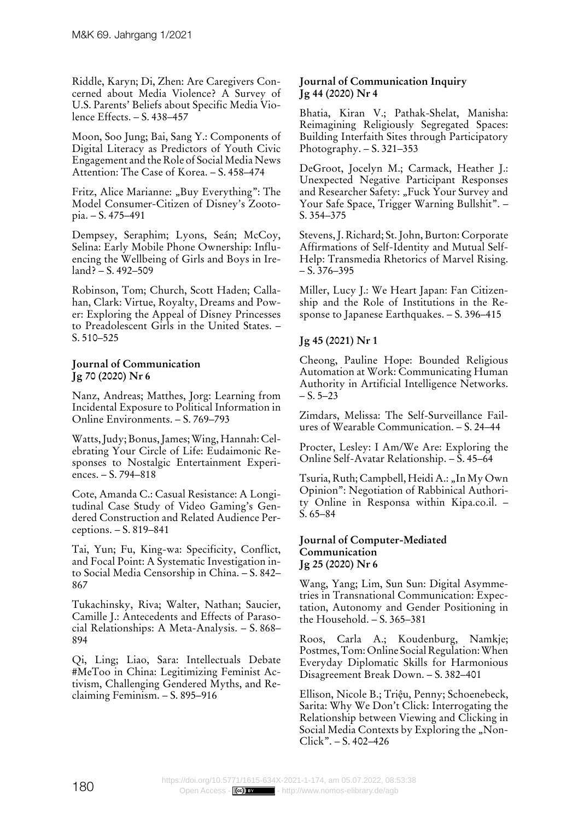Riddle, Karyn; Di, Zhen: Are Caregivers Concerned about Media Violence? A Survey of U.S. Parents' Beliefs about Specific Media Violence Effects. – S. 438–457

Moon, Soo Jung; Bai, Sang Y.: Components of Digital Literacy as Predictors of Youth Civic Engagement and the Role of Social Media News Attention: The Case of Korea. – S. 458–474

Fritz, Alice Marianne: "Buy Everything": The Model Consumer-Citizen of Disney's Zootopia. – S. 475–491

Dempsey, Seraphim; Lyons, Seán; McCoy, Selina: Early Mobile Phone Ownership: Influencing the Wellbeing of Girls and Boys in Ireland? – S. 492–509

Robinson, Tom; Church, Scott Haden; Callahan, Clark: Virtue, Royalty, Dreams and Power: Exploring the Appeal of Disney Princesses to Preadolescent Girls in the United States. – S. 510–525

#### **Journal of Communication Jg 70 (2020) Nr 6**

Nanz, Andreas; Matthes, Jorg: Learning from Incidental Exposure to Political Information in Online Environments. – S. 769–793

Watts, Judy; Bonus, James; Wing, Hannah: Celebrating Your Circle of Life: Eudaimonic Responses to Nostalgic Entertainment Experiences. – S. 794–818

Cote, Amanda C.: Casual Resistance: A Longitudinal Case Study of Video Gaming's Gendered Construction and Related Audience Perceptions. – S. 819–841

Tai, Yun; Fu, King-wa: Specificity, Conflict, and Focal Point: A Systematic Investigation into Social Media Censorship in China. – S. 842– 867

Tukachinsky, Riva; Walter, Nathan; Saucier, Camille J.: Antecedents and Effects of Parasocial Relationships: A Meta-Analysis. – S. 868– 894

Qi, Ling; Liao, Sara: Intellectuals Debate #MeToo in China: Legitimizing Feminist Activism, Challenging Gendered Myths, and Reclaiming Feminism. – S. 895–916

#### **Journal of Communication Inquiry Jg 44 (2020) Nr 4**

Bhatia, Kiran V.; Pathak-Shelat, Manisha: Reimagining Religiously Segregated Spaces: Building Interfaith Sites through Participatory Photography. – S. 321–353

DeGroot, Jocelyn M.; Carmack, Heather J.: Unexpected Negative Participant Responses and Researcher Safety: "Fuck Your Survey and Your Safe Space, Trigger Warning Bullshit". – S. 354–375

Stevens, J. Richard; St. John, Burton: Corporate Affirmations of Self-Identity and Mutual Self-Help: Transmedia Rhetorics of Marvel Rising.  $- S. 376 - 395$ 

Miller, Lucy J.: We Heart Japan: Fan Citizenship and the Role of Institutions in the Response to Japanese Earthquakes. – S. 396–415

# **Jg 45 (2021) Nr 1**

Cheong, Pauline Hope: Bounded Religious Automation at Work: Communicating Human Authority in Artificial Intelligence Networks.  $- S. 5 - 23$ 

Zimdars, Melissa: The Self-Surveillance Failures of Wearable Communication. – S. 24–44

Procter, Lesley: I Am/We Are: Exploring the Online Self-Avatar Relationship. – S. 45–64

Tsuria, Ruth; Campbell, Heidi A.: "In My Own Opinion": Negotiation of Rabbinical Authority Online in Responsa within Kipa.co.il. – S. 65–84

#### **Journal of Computer-Mediated Communication Jg 25 (2020) Nr 6**

Wang, Yang; Lim, Sun Sun: Digital Asymmetries in Transnational Communication: Expectation, Autonomy and Gender Positioning in the Household. – S. 365–381

Roos, Carla A.; Koudenburg, Namkje; Postmes, Tom: Online Social Regulation: When Everyday Diplomatic Skills for Harmonious Disagreement Break Down. – S. 382–401

Ellison, Nicole B.; Triệu, Penny; Schoenebeck, Sarita: Why We Don't Click: Interrogating the Relationship between Viewing and Clicking in Social Media Contexts by Exploring the "Non-Click". – S. 402–426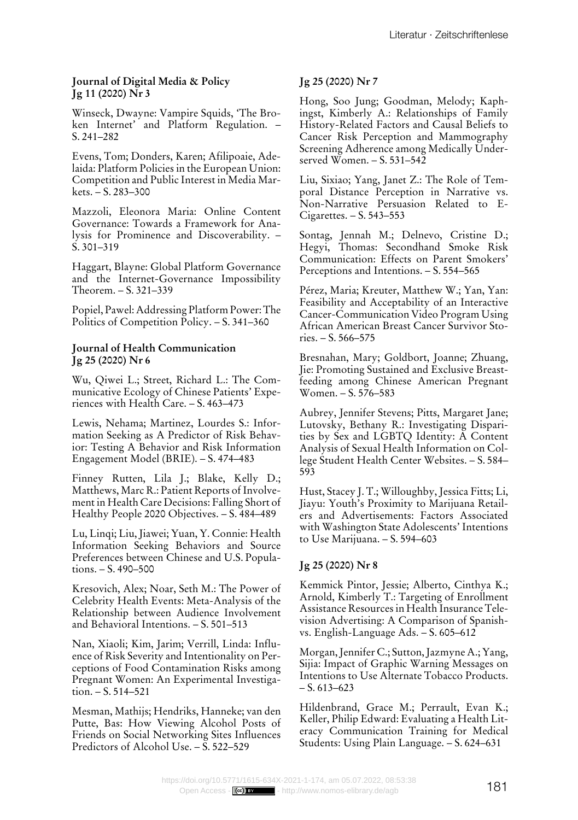## **Journal of Digital Media & Policy Jg 11 (2020) Nr 3**

Winseck, Dwayne: Vampire Squids, 'The Broken Internet' and Platform Regulation. – S. 241–282

Evens, Tom; Donders, Karen; Afilipoaie, Adelaida: Platform Policies in the European Union: Competition and Public Interest in Media Mar $kets. - S. 283 - 300$ 

Mazzoli, Eleonora Maria: Online Content Governance: Towards a Framework for Analysis for Prominence and Discoverability. – S. 301–319

Haggart, Blayne: Global Platform Governance and the Internet-Governance Impossibility Theorem. – S. 321–339

Popiel, Pawel: Addressing Platform Power: The Politics of Competition Policy. – S. 341–360

#### **Journal of Health Communication Jg 25 (2020) Nr 6**

Wu, Qiwei L.; Street, Richard L.: The Communicative Ecology of Chinese Patients' Experiences with Health Care. – S. 463–473

Lewis, Nehama; Martinez, Lourdes S.: Information Seeking as A Predictor of Risk Behavior: Testing A Behavior and Risk Information Engagement Model (BRIE). – S. 474–483

Finney Rutten, Lila J.; Blake, Kelly D.; Matthews, Marc R.: Patient Reports of Involvement in Health Care Decisions: Falling Short of Healthy People 2020 Objectives. – S. 484–489

Lu, Linqi; Liu, Jiawei; Yuan, Y. Connie: Health Information Seeking Behaviors and Source Preferences between Chinese and U.S. Populations. – S. 490–500

Kresovich, Alex; Noar, Seth M.: The Power of Celebrity Health Events: Meta-Analysis of the Relationship between Audience Involvement and Behavioral Intentions. – S. 501–513

Nan, Xiaoli; Kim, Jarim; Verrill, Linda: Influence of Risk Severity and Intentionality on Perceptions of Food Contamination Risks among Pregnant Women: An Experimental Investigation. – S. 514–521

Mesman, Mathijs; Hendriks, Hanneke; van den Putte, Bas: How Viewing Alcohol Posts of Friends on Social Networking Sites Influences Predictors of Alcohol Use.  $-\tilde{S}$ , 522–529

# **Jg 25 (2020) Nr 7**

Hong, Soo Jung; Goodman, Melody; Kaphingst, Kimberly A.: Relationships of Family History-Related Factors and Causal Beliefs to Cancer Risk Perception and Mammography Screening Adherence among Medically Underserved Women. – S. 531–542

Liu, Sixiao; Yang, Janet Z.: The Role of Temporal Distance Perception in Narrative vs. Non-Narrative Persuasion Related to E-Cigarettes. – S. 543–553

Sontag, Jennah M.; Delnevo, Cristine D.; Hegyi, Thomas: Secondhand Smoke Risk Communication: Effects on Parent Smokers' Perceptions and Intentions. – S. 554–565

Pérez, Maria; Kreuter, Matthew W.; Yan, Yan: Feasibility and Acceptability of an Interactive Cancer-Communication Video Program Using African American Breast Cancer Survivor Sto $ries - S. 566 - 575$ 

Bresnahan, Mary; Goldbort, Joanne; Zhuang, Jie: Promoting Sustained and Exclusive Breastfeeding among Chinese American Pregnant Women. – S. 576–583

Aubrey, Jennifer Stevens; Pitts, Margaret Jane; Lutovsky, Bethany R.: Investigating Disparities by Sex and LGBTQ Identity: A Content Analysis of Sexual Health Information on College Student Health Center Websites. – S. 584– 593

Hust, Stacey J. T.; Willoughby, Jessica Fitts; Li, Jiayu: Youth's Proximity to Marijuana Retailers and Advertisements: Factors Associated with Washington State Adolescents' Intentions to Use Marijuana. – S. 594–603

# **Jg 25 (2020) Nr 8**

Kemmick Pintor, Jessie; Alberto, Cinthya K.; Arnold, Kimberly T.: Targeting of Enrollment Assistance Resources in Health Insurance Television Advertising: A Comparison of Spanishvs. English-Language Ads. – S. 605–612

Morgan, Jennifer C.; Sutton, Jazmyne A.; Yang, Sijia: Impact of Graphic Warning Messages on Intentions to Use Alternate Tobacco Products.  $- S. 613 - 623$ 

Hildenbrand, Grace M.; Perrault, Evan K.; Keller, Philip Edward: Evaluating a Health Literacy Communication Training for Medical Students: Using Plain Language. – S. 624–631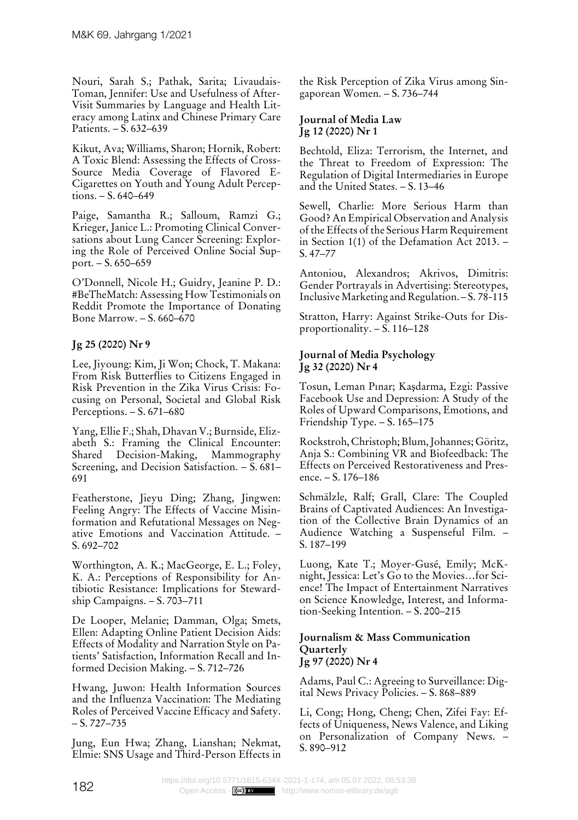Nouri, Sarah S.; Pathak, Sarita; Livaudais-Toman, Jennifer: Use and Usefulness of After-Visit Summaries by Language and Health Literacy among Latinx and Chinese Primary Care Patients. – S. 632–639

Kikut, Ava; Williams, Sharon; Hornik, Robert: A Toxic Blend: Assessing the Effects of Cross-Source Media Coverage of Flavored E-Cigarettes on Youth and Young Adult Perceptions. – S. 640–649

Paige, Samantha R.; Salloum, Ramzi G.; Krieger, Janice L.: Promoting Clinical Conversations about Lung Cancer Screening: Exploring the Role of Perceived Online Social Support. – S. 650–659

O'Donnell, Nicole H.; Guidry, Jeanine P. D.: #BeTheMatch: Assessing How Testimonials on Reddit Promote the Importance of Donating Bone Marrow. – S. 660–670

# **Jg 25 (2020) Nr 9**

Lee, Jiyoung: Kim, Ji Won; Chock, T. Makana: From Risk Butterflies to Citizens Engaged in Risk Prevention in the Zika Virus Crisis: Focusing on Personal, Societal and Global Risk Perceptions. – S. 671–680

Yang, Ellie F.; Shah, Dhavan V.; Burnside, Elizabeth S.: Framing the Clinical Encounter: Shared Decision-Making, Mammography Screening, and Decision Satisfaction. – S. 681– 691

Featherstone, Jieyu Ding; Zhang, Jingwen: Feeling Angry: The Effects of Vaccine Misinformation and Refutational Messages on Negative Emotions and Vaccination Attitude. – S. 692–702

Worthington, A. K.; MacGeorge, E. L.; Foley, K. A.: Perceptions of Responsibility for Antibiotic Resistance: Implications for Stewardship Campaigns. – S. 703–711

De Looper, Melanie; Damman, Olga; Smets, Ellen: Adapting Online Patient Decision Aids: Effects of Modality and Narration Style on Patients' Satisfaction, Information Recall and Informed Decision Making. – S. 712–726

Hwang, Juwon: Health Information Sources and the Influenza Vaccination: The Mediating Roles of Perceived Vaccine Efficacy and Safety. – S. 727–735

Jung, Eun Hwa; Zhang, Lianshan; Nekmat, Elmie: SNS Usage and Third-Person Effects in the Risk Perception of Zika Virus among Singaporean Women. – S. 736–744

#### **Journal of Media Law Jg 12 (2020) Nr 1**

Bechtold, Eliza: Terrorism, the Internet, and the Threat to Freedom of Expression: The Regulation of Digital Intermediaries in Europe and the United States. – S. 13–46

Sewell, Charlie: More Serious Harm than Good? An Empirical Observation and Analysis of the Effects of the Serious Harm Requirement in Section 1(1) of the Defamation Act 2013. – S. 47–77

Antoniou, Alexandros; Akrivos, Dimitris: Gender Portrayals in Advertising: Stereotypes, Inclusive Marketing and Regulation. – S. 78-115

Stratton, Harry: Against Strike-Outs for Disproportionality. – S. 116–128

## **Journal of Media Psychology Jg 32 (2020) Nr 4**

Tosun, Leman Pınar; Kaşdarma, Ezgi: Passive Facebook Use and Depression: A Study of the Roles of Upward Comparisons, Emotions, and Friendship Type. – S. 165–175

Rockstroh, Christoph; Blum, Johannes; Göritz, Anja S.: Combining VR and Biofeedback: The Effects on Perceived Restorativeness and Presence. – S. 176–186

Schmälzle, Ralf; Grall, Clare: The Coupled Brains of Captivated Audiences: An Investigation of the Collective Brain Dynamics of an Audience Watching a Suspenseful Film. – S. 187–199

Luong, Kate T.; Moyer-Gusé, Emily; McKnight, Jessica: Let's Go to the Movies…for Science! The Impact of Entertainment Narratives on Science Knowledge, Interest, and Information-Seeking Intention. – S. 200–215

#### **Journalism & Mass Communication Quarterly Jg 97 (2020) Nr 4**

Adams, Paul C.: Agreeing to Surveillance: Digital News Privacy Policies. – S. 868–889

Li, Cong; Hong, Cheng; Chen, Zifei Fay: Effects of Uniqueness, News Valence, and Liking on Personalization of Company News. – S. 890–912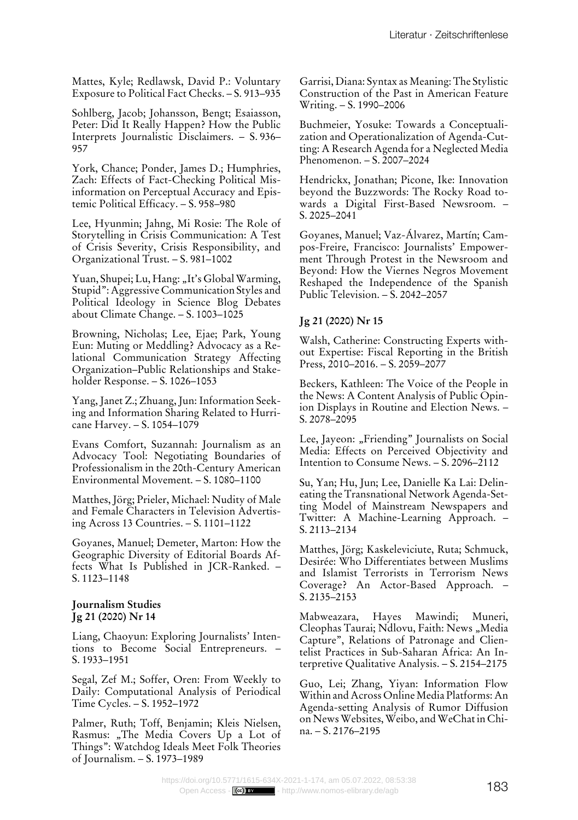Mattes, Kyle; Redlawsk, David P.: Voluntary Exposure to Political Fact Checks. – S. 913–935

Sohlberg, Jacob; Johansson, Bengt; Esaiasson, Peter: Did It Really Happen? How the Public Interprets Journalistic Disclaimers. – S. 936– 957

York, Chance; Ponder, James D.; Humphries, Zach: Effects of Fact-Checking Political Misinformation on Perceptual Accuracy and Epistemic Political Efficacy. – S. 958–980

Lee, Hyunmin; Jahng, Mi Rosie: The Role of Storytelling in Crisis Communication: A Test of Crisis Severity, Crisis Responsibility, and Organizational Trust. – S. 981–1002

Yuan, Shupei; Lu, Hang: "It's Global Warming, Stupid": Aggressive Communication Styles and Political Ideology in Science Blog Debates about Climate Change. – S. 1003–1025

Browning, Nicholas; Lee, Ejae; Park, Young Eun: Muting or Meddling? Advocacy as a Relational Communication Strategy Affecting Organization–Public Relationships and Stakeholder Response. – S. 1026–1053

Yang, Janet Z.; Zhuang, Jun: Information Seeking and Information Sharing Related to Hurricane Harvey. – S. 1054–1079

Evans Comfort, Suzannah: Journalism as an Advocacy Tool: Negotiating Boundaries of Professionalism in the 20th-Century American Environmental Movement. – S. 1080–1100

Matthes, Jörg; Prieler, Michael: Nudity of Male and Female Characters in Television Advertising Across 13 Countries. – S. 1101–1122

Goyanes, Manuel; Demeter, Marton: How the Geographic Diversity of Editorial Boards Affects What Is Published in JCR-Ranked. – S. 1123–1148

#### **Journalism Studies Jg 21 (2020) Nr 14**

Liang, Chaoyun: Exploring Journalists' Intentions to Become Social Entrepreneurs. – S. 1933–1951

Segal, Zef M.; Soffer, Oren: From Weekly to Daily: Computational Analysis of Periodical Time Cycles. – S. 1952–1972

Palmer, Ruth; Toff, Benjamin; Kleis Nielsen, Rasmus: "The Media Covers Up a Lot of Things": Watchdog Ideals Meet Folk Theories of Journalism. – S. 1973–1989

Garrisi, Diana: Syntax as Meaning: The Stylistic Construction of the Past in American Feature Writing. – S. 1990–2006

Buchmeier, Yosuke: Towards a Conceptualization and Operationalization of Agenda-Cutting: A Research Agenda for a Neglected Media Phenomenon. – S. 2007–2024

Hendrickx, Jonathan; Picone, Ike: Innovation beyond the Buzzwords: The Rocky Road towards a Digital First-Based Newsroom. – S. 2025–2041

Goyanes, Manuel; Vaz-Álvarez, Martín; Campos-Freire, Francisco: Journalists' Empowerment Through Protest in the Newsroom and Beyond: How the Viernes Negros Movement Reshaped the Independence of the Spanish Public Television. – S. 2042–2057

# **Jg 21 (2020) Nr 15**

Walsh, Catherine: Constructing Experts without Expertise: Fiscal Reporting in the British Press, 2010–2016. – S. 2059–2077

Beckers, Kathleen: The Voice of the People in the News: A Content Analysis of Public Opinion Displays in Routine and Election News. – S. 2078–2095

Lee, Jayeon: "Friending" Journalists on Social Media: Effects on Perceived Objectivity and Intention to Consume News. – S. 2096–2112

Su, Yan; Hu, Jun; Lee, Danielle Ka Lai: Delineating the Transnational Network Agenda-Setting Model of Mainstream Newspapers and Twitter: A Machine-Learning Approach. – S. 2113–2134

Matthes, Jörg; Kaskeleviciute, Ruta; Schmuck, Desirée: Who Differentiates between Muslims and Islamist Terrorists in Terrorism News Coverage? An Actor-Based Approach. – S. 2135–2153

Mabweazara, Hayes Mawindi; Muneri, Cleophas Taurai; Ndlovu, Faith: News "Media Capture", Relations of Patronage and Clientelist Practices in Sub-Saharan Africa: An Interpretive Qualitative Analysis. – S. 2154–2175

Guo, Lei; Zhang, Yiyan: Information Flow Within and Across Online Media Platforms: An Agenda-setting Analysis of Rumor Diffusion on News Websites, Weibo, and WeChat in China. – S. 2176–2195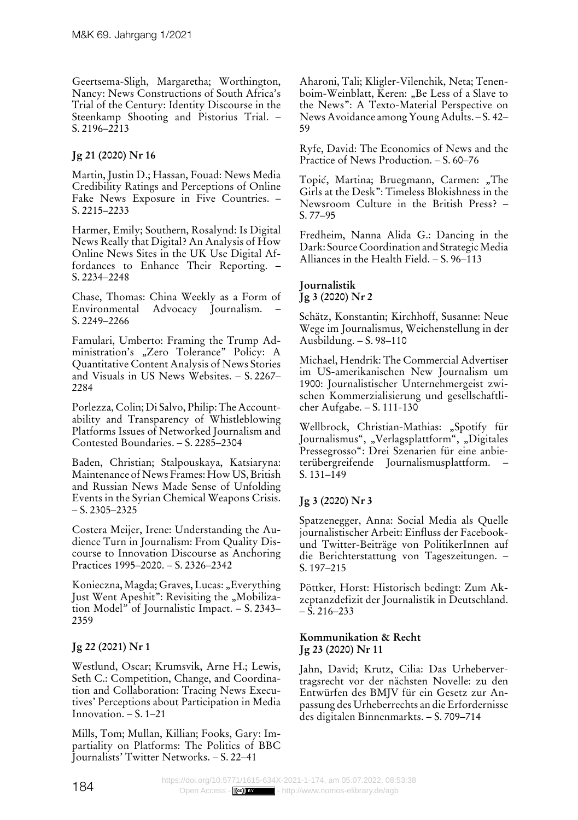Geertsema-Sligh, Margaretha; Worthington, Nancy: News Constructions of South Africa's Trial of the Century: Identity Discourse in the Steenkamp Shooting and Pistorius Trial. – S.  $2196 - 2213$ 

# **Jg 21 (2020) Nr 16**

Martin, Justin D.; Hassan, Fouad: News Media Credibility Ratings and Perceptions of Online Fake News Exposure in Five Countries. – S. 2215–2233

Harmer, Emily; Southern, Rosalynd: Is Digital News Really that Digital? An Analysis of How Online News Sites in the UK Use Digital Affordances to Enhance Their Reporting. – S. 2234–2248

Chase, Thomas: China Weekly as a Form of Environmental Advocacy Journalism. – S. 2249–2266

Famulari, Umberto: Framing the Trump Administration's "Zero Tolerance" Policy: A Quantitative Content Analysis of News Stories and Visuals in US News Websites. – S. 2267– 2284

Porlezza, Colin; Di Salvo, Philip: The Accountability and Transparency of Whistleblowing Platforms Issues of Networked Journalism and Contested Boundaries. – S. 2285–2304

Baden, Christian; Stalpouskaya, Katsiaryna: Maintenance of News Frames: How US, British and Russian News Made Sense of Unfolding Events in the Syrian Chemical Weapons Crisis. – S. 2305–2325

Costera Meijer, Irene: Understanding the Audience Turn in Journalism: From Quality Discourse to Innovation Discourse as Anchoring Practices 1995–2020. – S. 2326–2342

Konieczna, Magda; Graves, Lucas: "Everything Just Went Apeshit": Revisiting the "Mobilization Model" of Journalistic Impact. – S. 2343– 2359

# **Jg 22 (2021) Nr 1**

Westlund, Oscar; Krumsvik, Arne H.; Lewis, Seth C.: Competition, Change, and Coordination and Collaboration: Tracing News Executives' Perceptions about Participation in Media Innovation. – S. 1–21

Mills, Tom; Mullan, Killian; Fooks, Gary: Impartiality on Platforms: The Politics of BBC Journalists' Twitter Networks. – S. 22–41

Aharoni, Tali; Kligler-Vilenchik, Neta; Tenenboim-Weinblatt, Keren: "Be Less of a Slave to the News": A Texto-Material Perspective on News Avoidance among Young Adults. – S. 42– 59

Ryfe, David: The Economics of News and the Practice of News Production. – S. 60–76

Topić, Martina; Bruegmann, Carmen: "The Girls at the Desk": Timeless Blokishness in the Newsroom Culture in the British Press? – S. 77–95

Fredheim, Nanna Alida G.: Dancing in the Dark: Source Coordination and Strategic Media Alliances in the Health Field. – S. 96–113

# **Journalistik Jg 3 (2020) Nr 2**

Schätz, Konstantin; Kirchhoff, Susanne: Neue Wege im Journalismus, Weichenstellung in der Ausbildung. – S. 98–110

Michael, Hendrik: The Commercial Advertiser im US-amerikanischen New Journalism um 1900: Journalistischer Unternehmergeist zwischen Kommerzialisierung und gesellschaftlicher Aufgabe. – S. 111-130

Wellbrock, Christian-Mathias: "Spotify für Journalismus", "Verlagsplattform", "Digitales Pressegrosso": Drei Szenarien für eine anbieterübergreifende Journalismusplattform. – S. 131–149

# **Jg 3 (2020) Nr 3**

Spatzenegger, Anna: Social Media als Quelle journalistischer Arbeit: Einfluss der Facebookund Twitter-Beiträge von PolitikerInnen auf die Berichterstattung von Tageszeitungen. – S. 197–215

Pöttker, Horst: Historisch bedingt: Zum Akzeptanzdefizit der Journalistik in Deutschland.  $- S. 216 - 233$ 

## **Kommunikation & Recht Jg 23 (2020) Nr 11**

Jahn, David; Krutz, Cilia: Das Urhebervertragsrecht vor der nächsten Novelle: zu den Entwürfen des BMJV für ein Gesetz zur Anpassung des Urheberrechts an die Erfordernisse des digitalen Binnenmarkts. – S. 709–714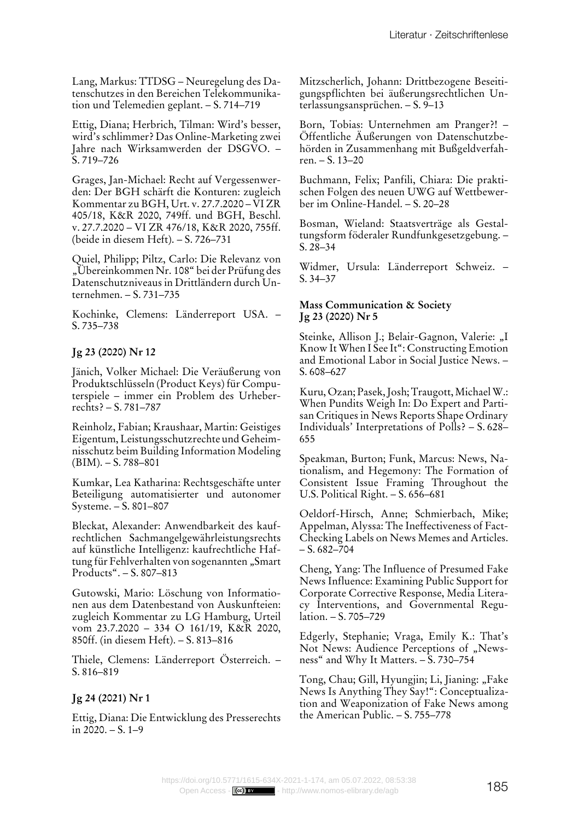Lang, Markus: TTDSG – Neuregelung des Datenschutzes in den Bereichen Telekommunikation und Telemedien geplant. – S. 714–719

Ettig, Diana; Herbrich, Tilman: Wird's besser, wird's schlimmer? Das Online-Marketing zwei Jahre nach Wirksamwerden der DSGVO. – S. 719–726

Grages, Jan-Michael: Recht auf Vergessenwerden: Der BGH schärft die Konturen: zugleich Kommentar zu BGH, Urt. v. 27.7.2020 – VI ZR 405/18, K&R 2020, 749ff. und BGH, Beschl. v. 27.7.2020 – VI ZR 476/18, K&R 2020, 755ff. (beide in diesem Heft). – S. 726–731

Quiel, Philipp; Piltz, Carlo: Die Relevanz von "Übereinkommen Nr. 108" bei der Prüfung des Datenschutzniveaus in Drittländern durch Unternehmen. – S. 731–735

Kochinke, Clemens: Länderreport USA. – S. 735–738

## **Jg 23 (2020) Nr 12**

Jänich, Volker Michael: Die Veräußerung von Produktschlüsseln (Product Keys) für Computerspiele – immer ein Problem des Urheberrechts? – S. 781–787

Reinholz, Fabian; Kraushaar, Martin: Geistiges Eigentum, Leistungsschutzrechte und Geheimnisschutz beim Building Information Modeling (BIM). – S. 788–801

Kumkar, Lea Katharina: Rechtsgeschäfte unter Beteiligung automatisierter und autonomer Systeme. – S. 801–807

Bleckat, Alexander: Anwendbarkeit des kaufrechtlichen Sachmangelgewährleistungsrechts auf künstliche Intelligenz: kaufrechtliche Haftung für Fehlverhalten von sogenannten "Smart Products". – S. 807–813

Gutowski, Mario: Löschung von Informationen aus dem Datenbestand von Auskunfteien: zugleich Kommentar zu LG Hamburg, Urteil vom 23.7.2020 – 334 O 161/19, K&R 2020, 850ff. (in diesem Heft). – S. 813–816

Thiele, Clemens: Länderreport Österreich. – S. 816–819

## **Jg 24 (2021) Nr 1**

Ettig, Diana: Die Entwicklung des Presserechts in 2020. – S. 1–9

Mitzscherlich, Johann: Drittbezogene Beseitigungspflichten bei äußerungsrechtlichen Unterlassungsansprüchen. – S. 9–13

Born, Tobias: Unternehmen am Pranger?! – Öffentliche Äußerungen von Datenschutzbehörden in Zusammenhang mit Bußgeldverfahren. – S. 13–20

Buchmann, Felix; Panfili, Chiara: Die praktischen Folgen des neuen UWG auf Wettbewerber im Online-Handel. – S. 20–28

Bosman, Wieland: Staatsverträge als Gestaltungsform föderaler Rundfunkgesetzgebung. – S. 28–34

Widmer, Ursula: Länderreport Schweiz. – S. 34–37

#### **Mass Communication & Society Jg 23 (2020) Nr 5**

Steinke, Allison J.; Belair-Gagnon, Valerie: "I Know It When I See It": Constructing Emotion and Emotional Labor in Social Justice News. – S. 608–627

Kuru, Ozan; Pasek, Josh; Traugott, Michael W.: When Pundits Weigh In: Do Expert and Partisan Critiques in News Reports Shape Ordinary Individuals' Interpretations of Polls? – S. 628– 655

Speakman, Burton; Funk, Marcus: News, Nationalism, and Hegemony: The Formation of Consistent Issue Framing Throughout the U.S. Political Right. – S. 656–681

Oeldorf-Hirsch, Anne; Schmierbach, Mike; Appelman, Alyssa: The Ineffectiveness of Fact-Checking Labels on News Memes and Articles.  $- S. 682 - 704$ 

Cheng, Yang: The Influence of Presumed Fake News Influence: Examining Public Support for Corporate Corrective Response, Media Literacy Interventions, and Governmental Regulation. – S. 705–729

Edgerly, Stephanie; Vraga, Emily K.: That's Not News: Audience Perceptions of "Newsness" and Why It Matters. – S. 730–754

Tong, Chau; Gill, Hyungjin; Li, Jianing: "Fake News Is Anything They Say!": Conceptualization and Weaponization of Fake News among the American Public. – S. 755–778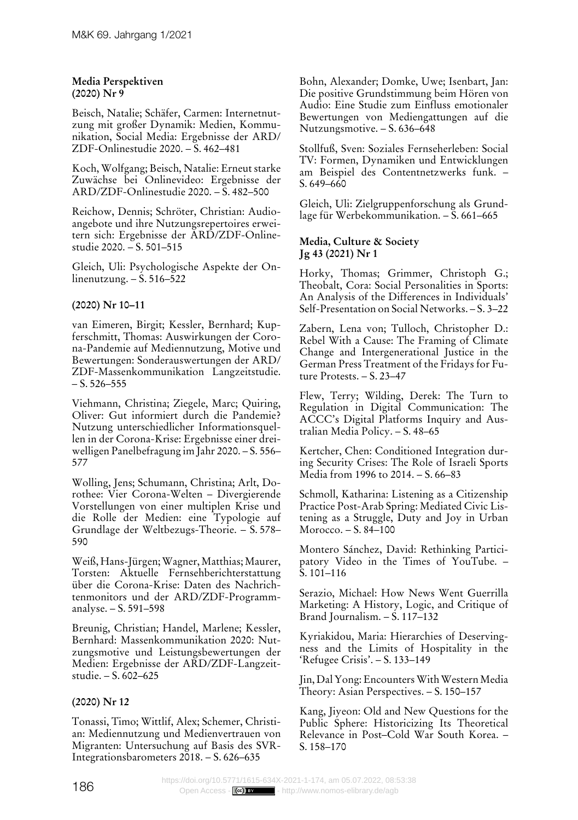#### **Media Perspektiven (2020) Nr 9**

Beisch, Natalie; Schäfer, Carmen: Internetnutzung mit großer Dynamik: Medien, Kommunikation, Social Media: Ergebnisse der ARD/ ZDF-Onlinestudie 2020. – S. 462–481

Koch, Wolfgang; Beisch, Natalie: Erneut starke Zuwächse bei Onlinevideo: Ergebnisse der ARD/ZDF-Onlinestudie 2020. – S. 482–500

Reichow, Dennis; Schröter, Christian: Audioangebote und ihre Nutzungsrepertoires erweitern sich: Ergebnisse der ARD/ZDF-Onlinestudie 2020. – S. 501–515

Gleich, Uli: Psychologische Aspekte der Onlinenutzung. –  $\dot{S}$ . 516–522

# **(2020) Nr 10–11**

van Eimeren, Birgit; Kessler, Bernhard; Kupferschmitt, Thomas: Auswirkungen der Corona-Pandemie auf Mediennutzung, Motive und Bewertungen: Sonderauswertungen der ARD/ ZDF-Massenkommunikation Langzeitstudie.  $- S. 526 - 555$ 

Viehmann, Christina; Ziegele, Marc; Quiring, Oliver: Gut informiert durch die Pandemie? Nutzung unterschiedlicher Informationsquellen in der Corona-Krise: Ergebnisse einer dreiwelligen Panelbefragung im Jahr 2020. – S. 556– 577

Wolling, Jens; Schumann, Christina; Arlt, Dorothee: Vier Corona-Welten – Divergierende Vorstellungen von einer multiplen Krise und die Rolle der Medien: eine Typologie auf Grundlage der Weltbezugs-Theorie. – S. 578– 590

Weiß, Hans-Jürgen; Wagner, Matthias; Maurer, Torsten: Aktuelle Fernsehberichterstattung über die Corona-Krise: Daten des Nachrichtenmonitors und der ARD/ZDF-Programmanalyse. – S. 591–598

Breunig, Christian; Handel, Marlene; Kessler, Bernhard: Massenkommunikation 2020: Nutzungsmotive und Leistungsbewertungen der Medien: Ergebnisse der ARD/ZDF-Langzeitstudie. – S. 602–625

# **(2020) Nr 12**

Tonassi, Timo; Wittlif, Alex; Schemer, Christian: Mediennutzung und Medienvertrauen von Migranten: Untersuchung auf Basis des SVR-Integrationsbarometers 2018. – S. 626–635

Bohn, Alexander; Domke, Uwe; Isenbart, Jan: Die positive Grundstimmung beim Hören von Audio: Eine Studie zum Einfluss emotionaler Bewertungen von Mediengattungen auf die Nutzungsmotive. – S. 636–648

Stollfuß, Sven: Soziales Fernseherleben: Social TV: Formen, Dynamiken und Entwicklungen am Beispiel des Contentnetzwerks funk. – S. 649–660

Gleich, Uli: Zielgruppenforschung als Grundlage für Werbekommunikation. – S. 661–665

## **Media, Culture & Society Jg 43 (2021) Nr 1**

Horky, Thomas; Grimmer, Christoph G.; Theobalt, Cora: Social Personalities in Sports: An Analysis of the Differences in Individuals' Self-Presentation on Social Networks. – S. 3–22

Zabern, Lena von; Tulloch, Christopher D.: Rebel With a Cause: The Framing of Climate Change and Intergenerational Justice in the German Press Treatment of the Fridays for Future Protests. – S. 23–47

Flew, Terry; Wilding, Derek: The Turn to Regulation in Digital Communication: The ACCC's Digital Platforms Inquiry and Australian Media Policy. – S. 48–65

Kertcher, Chen: Conditioned Integration during Security Crises: The Role of Israeli Sports Media from 1996 to 2014. – S. 66–83

Schmoll, Katharina: Listening as a Citizenship Practice Post-Arab Spring: Mediated Civic Listening as a Struggle, Duty and Joy in Urban Morocco. – S. 84–100

Montero Sánchez, David: Rethinking Participatory Video in the Times of YouTube. – S. 101–116

Serazio, Michael: How News Went Guerrilla Marketing: A History, Logic, and Critique of Brand Journalism. – S. 117–132

Kyriakidou, Maria: Hierarchies of Deservingness and the Limits of Hospitality in the 'Refugee Crisis'. – S. 133–149

Jin, Dal Yong: Encounters With Western Media Theory: Asian Perspectives. – S. 150–157

Kang, Jiyeon: Old and New Questions for the Public Sphere: Historicizing Its Theoretical Relevance in Post–Cold War South Korea. – S. 158–170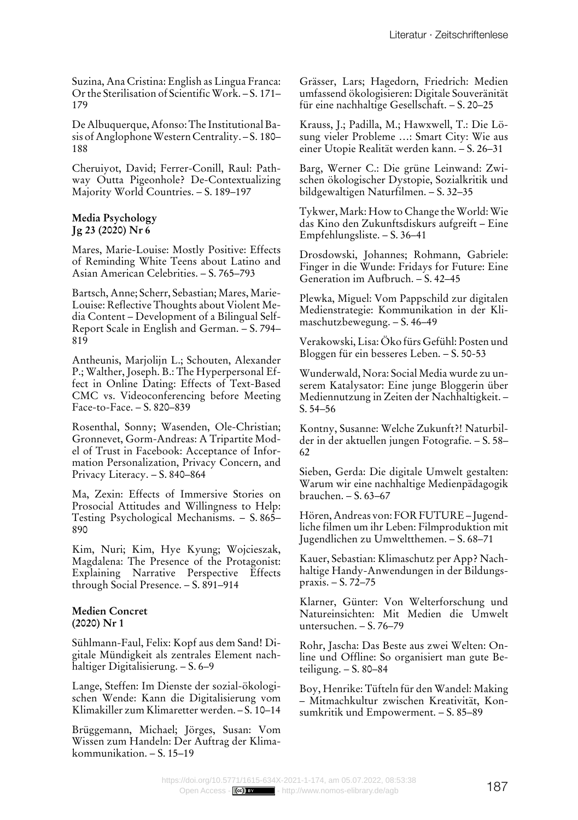Suzina, Ana Cristina: English as Lingua Franca: Or the Sterilisation of Scientific Work. – S. 171– 179

De Albuquerque, Afonso: The Institutional Basis of Anglophone Western Centrality. – S. 180– 188

Cheruiyot, David; Ferrer-Conill, Raul: Pathway Outta Pigeonhole? De-Contextualizing Majority World Countries. – S. 189–197

#### **Media Psychology Jg 23 (2020) Nr 6**

Mares, Marie-Louise: Mostly Positive: Effects of Reminding White Teens about Latino and Asian American Celebrities. – S. 765–793

Bartsch, Anne; Scherr, Sebastian; Mares, Marie-Louise: Reflective Thoughts about Violent Media Content – Development of a Bilingual Self-Report Scale in English and German. – S. 794– 819

Antheunis, Marjolijn L.; Schouten, Alexander P.; Walther, Joseph. B.: The Hyperpersonal Effect in Online Dating: Effects of Text-Based CMC vs. Videoconferencing before Meeting Face-to-Face. – S. 820–839

Rosenthal, Sonny; Wasenden, Ole-Christian; Gronnevet, Gorm-Andreas: A Tripartite Model of Trust in Facebook: Acceptance of Information Personalization, Privacy Concern, and Privacy Literacy. – S. 840–864

Ma, Zexin: Effects of Immersive Stories on Prosocial Attitudes and Willingness to Help: Testing Psychological Mechanisms. – S. 865– 890

Kim, Nuri; Kim, Hye Kyung; Wojcieszak, Magdalena: The Presence of the Protagonist: Explaining Narrative Perspective Effects through Social Presence. – S. 891–914

#### **Medien Concret (2020) Nr 1**

Sühlmann-Faul, Felix: Kopf aus dem Sand! Digitale Mündigkeit als zentrales Element nachhaltiger Digitalisierung. – S. 6–9

Lange, Steffen: Im Dienste der sozial-ökologischen Wende: Kann die Digitalisierung vom Klimakiller zum Klimaretter werden. – S. 10–14

Brüggemann, Michael; Jörges, Susan: Vom Wissen zum Handeln: Der Auftrag der Klimakommunikation. – S. 15–19

Grässer, Lars; Hagedorn, Friedrich: Medien umfassend ökologisieren: Digitale Souveränität für eine nachhaltige Gesellschaft. – S. 20–25

Krauss, J.; Padilla, M.; Hawxwell, T.: Die Lösung vieler Probleme …: Smart City: Wie aus einer Utopie Realität werden kann. – S. 26–31

Barg, Werner C.: Die grüne Leinwand: Zwischen ökologischer Dystopie, Sozialkritik und bildgewaltigen Naturfilmen. – S. 32–35

Tykwer, Mark: How to Change the World: Wie das Kino den Zukunftsdiskurs aufgreift – Eine Empfehlungsliste. – S. 36–41

Drosdowski, Johannes; Rohmann, Gabriele: Finger in die Wunde: Fridays for Future: Eine Generation im Aufbruch. – S. 42–45

Plewka, Miguel: Vom Pappschild zur digitalen Medienstrategie: Kommunikation in der Klimaschutzbewegung. – S. 46–49

Verakowski, Lisa: Öko fürs Gefühl: Posten und Bloggen für ein besseres Leben. – S. 50-53

Wunderwald, Nora: Social Media wurde zu unserem Katalysator: Eine junge Bloggerin über Mediennutzung in Zeiten der Nachhaltigkeit. – S. 54–56

Kontny, Susanne: Welche Zukunft?! Naturbilder in der aktuellen jungen Fotografie. – S. 58– 62

Sieben, Gerda: Die digitale Umwelt gestalten: Warum wir eine nachhaltige Medienpädagogik brauchen. – S. 63–67

Hören, Andreas von: FOR FUTURE – Jugendliche filmen um ihr Leben: Filmproduktion mit Jugendlichen zu Umweltthemen. – S. 68–71

Kauer, Sebastian: Klimaschutz per App? Nachhaltige Handy-Anwendungen in der Bildungspraxis. – S. 72–75

Klarner, Günter: Von Welterforschung und Natureinsichten: Mit Medien die Umwelt untersuchen. – S. 76–79

Rohr, Jascha: Das Beste aus zwei Welten: Online und Offline: So organisiert man gute Beteiligung. – S. 80–84

Boy, Henrike: Tüfteln für den Wandel: Making – Mitmachkultur zwischen Kreativität, Konsumkritik und Empowerment. – S. 85–89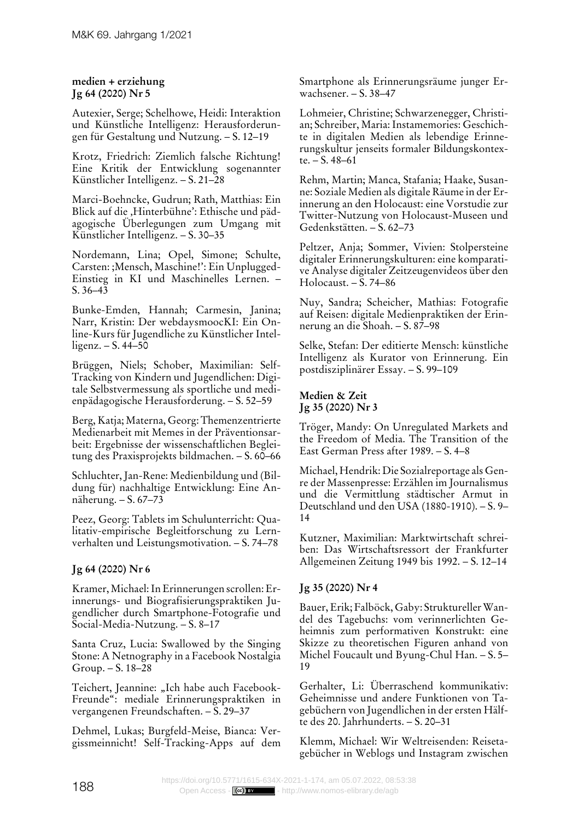## **medien + erziehung Jg 64 (2020) Nr 5**

Autexier, Serge; Schelhowe, Heidi: Interaktion und Künstliche Intelligenz: Herausforderungen für Gestaltung und Nutzung. – S. 12–19

Krotz, Friedrich: Ziemlich falsche Richtung! Eine Kritik der Entwicklung sogenannter Künstlicher Intelligenz. – S. 21–28

Marci-Boehncke, Gudrun; Rath, Matthias: Ein Blick auf die ,Hinterbühne': Ethische und pädagogische Überlegungen zum Umgang mit Künstlicher Intelligenz. – S. 30–35

Nordemann, Lina; Opel, Simone; Schulte, Carsten: ;Mensch, Maschine!': Ein Unplugged-Einstieg in KI und Maschinelles Lernen. – S. 36–43

Bunke-Emden, Hannah; Carmesin, Janina; Narr, Kristin: Der webdaysmoocKI: Ein Online-Kurs für Jugendliche zu Künstlicher Intelligenz.  $- S. 44 - 50$ 

Brüggen, Niels; Schober, Maximilian: Self-Tracking von Kindern und Jugendlichen: Digitale Selbstvermessung als sportliche und medienpädagogische Herausforderung. – S. 52–59

Berg, Katja; Materna, Georg: Themenzentrierte Medienarbeit mit Memes in der Präventionsarbeit: Ergebnisse der wissenschaftlichen Begleitung des Praxisprojekts bildmachen. – S. 60–66

Schluchter, Jan-Rene: Medienbildung und (Bildung für) nachhaltige Entwicklung: Eine Annäherung. – S. 67–73

Peez, Georg: Tablets im Schulunterricht: Qualitativ-empirische Begleitforschung zu Lernverhalten und Leistungsmotivation. – S. 74–78

# **Jg 64 (2020) Nr 6**

Kramer, Michael: In Erinnerungen scrollen: Erinnerungs- und Biografisierungspraktiken Jugendlicher durch Smartphone-Fotografie und Social-Media-Nutzung. – S. 8–17

Santa Cruz, Lucia: Swallowed by the Singing Stone: A Netnography in a Facebook Nostalgia Group. – S. 18–28

Teichert, Jeannine: "Ich habe auch Facebook-Freunde": mediale Erinnerungspraktiken in vergangenen Freundschaften. – S. 29–37

Dehmel, Lukas; Burgfeld-Meise, Bianca: Vergissmeinnicht! Self-Tracking-Apps auf dem Smartphone als Erinnerungsräume junger Erwachsener. – S. 38–47

Lohmeier, Christine; Schwarzenegger, Christian; Schreiber, Maria: Instamemories: Geschichte in digitalen Medien als lebendige Erinnerungskultur jenseits formaler Bildungskontexte. – S. 48–61

Rehm, Martin; Manca, Stafania; Haake, Susanne: Soziale Medien als digitale Räume in der Erinnerung an den Holocaust: eine Vorstudie zur Twitter-Nutzung von Holocaust-Museen und Gedenkstätten. – S. 62–73

Peltzer, Anja; Sommer, Vivien: Stolpersteine digitaler Erinnerungskulturen: eine komparative Analyse digitaler Zeitzeugenvideos über den Holocaust. – S. 74–86

Nuy, Sandra; Scheicher, Mathias: Fotografie auf Reisen: digitale Medienpraktiken der Erinnerung an die Shoah. – S. 87–98

Selke, Stefan: Der editierte Mensch: künstliche Intelligenz als Kurator von Erinnerung. Ein postdisziplinärer Essay. – S. 99–109

# **Medien & Zeit Jg 35 (2020) Nr 3**

Tröger, Mandy: On Unregulated Markets and the Freedom of Media. The Transition of the East German Press after 1989. – S. 4–8

Michael, Hendrik: Die Sozialreportage als Genre der Massenpresse: Erzählen im Journalismus und die Vermittlung städtischer Armut in Deutschland und den USA (1880-1910). – S. 9– 14

Kutzner, Maximilian: Marktwirtschaft schreiben: Das Wirtschaftsressort der Frankfurter Allgemeinen Zeitung 1949 bis 1992. – S. 12–14

# **Jg 35 (2020) Nr 4**

Bauer, Erik; Falböck, Gaby: Struktureller Wandel des Tagebuchs: vom verinnerlichten Geheimnis zum performativen Konstrukt: eine Skizze zu theoretischen Figuren anhand von Michel Foucault und Byung-Chul Han. – S. 5– 19

Gerhalter, Li: Überraschend kommunikativ: Geheimnisse und andere Funktionen von Tagebüchern von Jugendlichen in der ersten Hälfte des 20. Jahrhunderts. – S. 20–31

Klemm, Michael: Wir Weltreisenden: Reisetagebücher in Weblogs und Instagram zwischen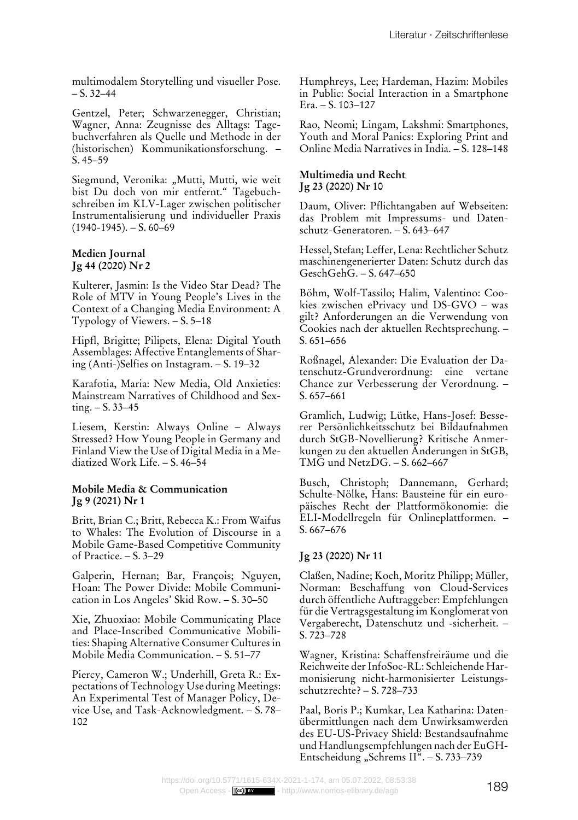multimodalem Storytelling und visueller Pose.  $- S. 32 - 44$ 

Gentzel, Peter; Schwarzenegger, Christian; Wagner, Anna: Zeugnisse des Alltags: Tagebuchverfahren als Quelle und Methode in der (historischen) Kommunikationsforschung. – S. 45–59

Siegmund, Veronika: "Mutti, Mutti, wie weit bist Du doch von mir entfernt." Tagebuchschreiben im KLV-Lager zwischen politischer Instrumentalisierung und individueller Praxis  $(1940-1945)$ . – S. 60–69

#### **Medien Journal Jg 44 (2020) Nr 2**

Kulterer, Jasmin: Is the Video Star Dead? The Role of MTV in Young People's Lives in the Context of a Changing Media Environment: A Typology of Viewers. – S. 5–18

Hipfl, Brigitte; Pilipets, Elena: Digital Youth Assemblages: Affective Entanglements of Sharing (Anti-)Selfies on Instagram. – S. 19–32

Karafotia, Maria: New Media, Old Anxieties: Mainstream Narratives of Childhood and Sexting. – S. 33–45

Liesem, Kerstin: Always Online – Always Stressed? How Young People in Germany and Finland View the Use of Digital Media in a Mediatized Work Life. – S. 46–54

#### **Mobile Media & Communication Jg 9 (2021) Nr 1**

Britt, Brian C.; Britt, Rebecca K.: From Waifus to Whales: The Evolution of Discourse in a Mobile Game-Based Competitive Community of Practice. – S. 3–29

Galperin, Hernan; Bar, François; Nguyen, Hoan: The Power Divide: Mobile Communication in Los Angeles' Skid Row. – S. 30–50

Xie, Zhuoxiao: Mobile Communicating Place and Place-Inscribed Communicative Mobilities: Shaping Alternative Consumer Cultures in Mobile Media Communication. – S. 51–77

Piercy, Cameron W.; Underhill, Greta R.: Expectations of Technology Use during Meetings: An Experimental Test of Manager Policy, Device Use, and Task-Acknowledgment. – S. 78– 102

Humphreys, Lee; Hardeman, Hazim: Mobiles in Public: Social Interaction in a Smartphone Era. – S. 103–127

Rao, Neomi; Lingam, Lakshmi: Smartphones, Youth and Moral Panics: Exploring Print and Online Media Narratives in India. – S. 128–148

#### **Multimedia und Recht Jg 23 (2020) Nr 10**

Daum, Oliver: Pflichtangaben auf Webseiten: das Problem mit Impressums- und Datenschutz-Generatoren. – S. 643–647

Hessel, Stefan; Leffer, Lena: Rechtlicher Schutz maschinengenerierter Daten: Schutz durch das GeschGehG. – S. 647–650

Böhm, Wolf-Tassilo; Halim, Valentino: Cookies zwischen ePrivacy und DS-GVO – was gilt? Anforderungen an die Verwendung von Cookies nach der aktuellen Rechtsprechung. – S. 651–656

Roßnagel, Alexander: Die Evaluation der Datenschutz-Grundverordnung: eine vertane Chance zur Verbesserung der Verordnung. – S. 657–661

Gramlich, Ludwig; Lütke, Hans-Josef: Besserer Persönlichkeitsschutz bei Bildaufnahmen durch StGB-Novellierung? Kritische Anmerkungen zu den aktuellen Änderungen in StGB, TMG und NetzDG. – S. 662–667

Busch, Christoph; Dannemann, Gerhard; Schulte-Nölke, Hans: Bausteine für ein europäisches Recht der Plattformökonomie: die ELI-Modellregeln für Onlineplattformen. – S. 667–676

## **Jg 23 (2020) Nr 11**

Claßen, Nadine; Koch, Moritz Philipp; Müller, Norman: Beschaffung von Cloud-Services durch öffentliche Auftraggeber: Empfehlungen für die Vertragsgestaltung im Konglomerat von Vergaberecht, Datenschutz und ‑sicherheit. – S. 723–728

Wagner, Kristina: Schaffensfreiräume und die Reichweite der InfoSoc-RL: Schleichende Harmonisierung nicht-harmonisierter Leistungsschutzrechte? – S. 728–733

Paal, Boris P.; Kumkar, Lea Katharina: Datenübermittlungen nach dem Unwirksamwerden des EU-US-Privacy Shield: Bestandsaufnahme und Handlungsempfehlungen nach der EuGH-Entscheidung "Schrems II". - S. 733-739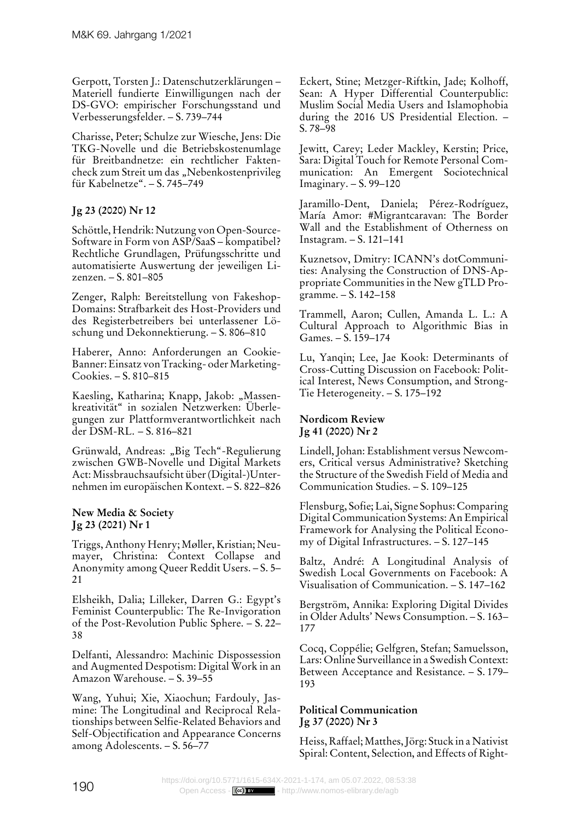Gerpott, Torsten J.: Datenschutzerklärungen – Materiell fundierte Einwilligungen nach der DS-GVO: empirischer Forschungsstand und Verbesserungsfelder. – S. 739–744

Charisse, Peter; Schulze zur Wiesche, Jens: Die TKG-Novelle und die Betriebskostenumlage für Breitbandnetze: ein rechtlicher Faktencheck zum Streit um das "Nebenkostenprivileg für Kabelnetze". – S. 745–749

# **Jg 23 (2020) Nr 12**

Schöttle, Hendrik: Nutzung von Open-Source-Software in Form von ASP/SaaS – kompatibel? Rechtliche Grundlagen, Prüfungsschritte und automatisierte Auswertung der jeweiligen Lizenzen. – S. 801–805

Zenger, Ralph: Bereitstellung von Fakeshop-Domains: Strafbarkeit des Host-Providers und des Registerbetreibers bei unterlassener Löschung und Dekonnektierung. – S. 806–810

Haberer, Anno: Anforderungen an Cookie-Banner: Einsatz von Tracking- oder Marketing-Cookies. – S. 810–815

Kaesling, Katharina; Knapp, Jakob: "Massenkreativität" in sozialen Netzwerken: Überlegungen zur Plattformverantwortlichkeit nach der DSM-RL. – S. 816–821

Grünwald, Andreas: "Big Tech"-Regulierung zwischen GWB-Novelle und Digital Markets Act: Missbrauchsaufsicht über (Digital-)Unternehmen im europäischen Kontext. – S. 822–826

#### **New Media & Society Jg 23 (2021) Nr 1**

Triggs, Anthony Henry; Møller, Kristian; Neumayer, Christina: Context Collapse and Anonymity among Queer Reddit Users. – S. 5– 21

Elsheikh, Dalia; Lilleker, Darren G.: Egypt's Feminist Counterpublic: The Re-Invigoration of the Post-Revolution Public Sphere. – S. 22– 38

Delfanti, Alessandro: Machinic Dispossession and Augmented Despotism: Digital Work in an Amazon Warehouse. – S. 39–55

Wang, Yuhui; Xie, Xiaochun; Fardouly, Jasmine: The Longitudinal and Reciprocal Relationships between Selfie-Related Behaviors and Self-Objectification and Appearance Concerns among Adolescents. – S. 56–77

Eckert, Stine; Metzger-Riftkin, Jade; Kolhoff, Sean: A Hyper Differential Counterpublic: Muslim Social Media Users and Islamophobia during the 2016 US Presidential Election. – S. 78–98

Jewitt, Carey; Leder Mackley, Kerstin; Price, Sara: Digital Touch for Remote Personal Communication: An Emergent Sociotechnical Imaginary. – S. 99–120

Jaramillo-Dent, Daniela; Pérez-Rodríguez, María Amor: #Migrantcaravan: The Border Wall and the Establishment of Otherness on Instagram. – S. 121–141

Kuznetsov, Dmitry: ICANN's dotCommunities: Analysing the Construction of DNS-Appropriate Communities in the New gTLD Programme. – S. 142–158

Trammell, Aaron; Cullen, Amanda L. L.: A Cultural Approach to Algorithmic Bias in Games. – S. 159–174

Lu, Yanqin; Lee, Jae Kook: Determinants of Cross-Cutting Discussion on Facebook: Political Interest, News Consumption, and Strong-Tie Heterogeneity. – S. 175–192

# **Nordicom Review Jg 41 (2020) Nr 2**

Lindell, Johan: Establishment versus Newcomers, Critical versus Administrative? Sketching the Structure of the Swedish Field of Media and Communication Studies. – S. 109–125

Flensburg, Sofie; Lai, Signe Sophus: Comparing Digital Communication Systems: An Empirical Framework for Analysing the Political Economy of Digital Infrastructures. – S. 127–145

Baltz, André: A Longitudinal Analysis of Swedish Local Governments on Facebook: A Visualisation of Communication. – S. 147–162

Bergström, Annika: Exploring Digital Divides in Older Adults' News Consumption. – S. 163– 177

Cocq, Coppélie; Gelfgren, Stefan; Samuelsson, Lars: Online Surveillance in a Swedish Context: Between Acceptance and Resistance. – S. 179– 193

# **Political Communication Jg 37 (2020) Nr 3**

Heiss, Raffael; Matthes, Jörg: Stuck in a Nativist Spiral: Content, Selection, and Effects of Right-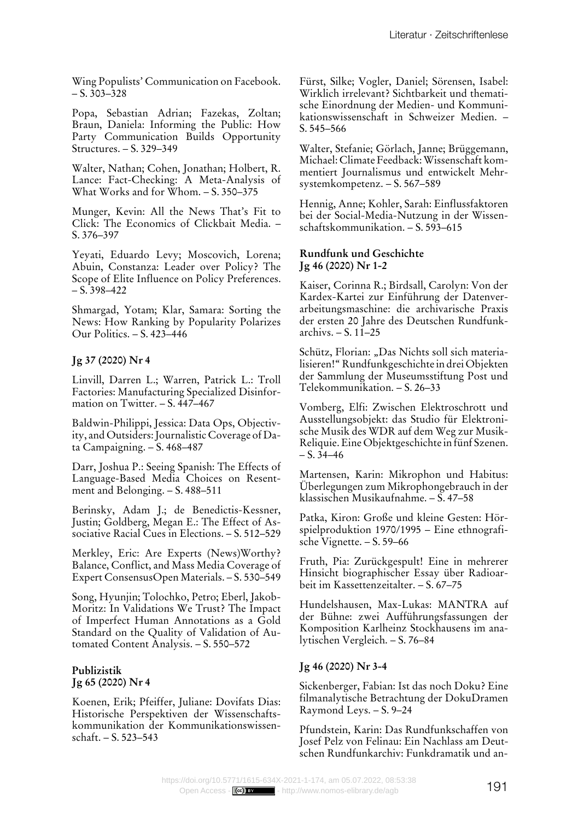Wing Populists' Communication on Facebook.  $- S. 303 - 328$ 

Popa, Sebastian Adrian; Fazekas, Zoltan; Braun, Daniela: Informing the Public: How Party Communication Builds Opportunity Structures. – S. 329–349

Walter, Nathan; Cohen, Jonathan; Holbert, R. Lance: Fact-Checking: A Meta-Analysis of What Works and for Whom. – S. 350–375

Munger, Kevin: All the News That's Fit to Click: The Economics of Clickbait Media. – S. 376–397

Yeyati, Eduardo Levy; Moscovich, Lorena; Abuin, Constanza: Leader over Policy? The Scope of Elite Influence on Policy Preferences.  $- S. 398 - 422$ 

Shmargad, Yotam; Klar, Samara: Sorting the News: How Ranking by Popularity Polarizes Our Politics. – S. 423–446

#### **Jg 37 (2020) Nr 4**

Linvill, Darren L.; Warren, Patrick L.: Troll Factories: Manufacturing Specialized Disinformation on Twitter. – S. 447–467

Baldwin-Philippi, Jessica: Data Ops, Objectivity, and Outsiders: Journalistic Coverage of Data Campaigning. – S. 468–487

Darr, Joshua P.: Seeing Spanish: The Effects of Language-Based Media Choices on Resentment and Belonging. – S. 488–511

Berinsky, Adam J.; de Benedictis-Kessner, Justin; Goldberg, Megan E.: The Effect of Associative Racial Cues in Elections. – S. 512–529

Merkley, Eric: Are Experts (News)Worthy? Balance, Conflict, and Mass Media Coverage of Expert ConsensusOpen Materials. – S. 530–549

Song, Hyunjin; Tolochko, Petro; Eberl, Jakob-Moritz: In Validations We Trust? The Impact of Imperfect Human Annotations as a Gold Standard on the Quality of Validation of Automated Content Analysis. – S. 550–572

#### **Publizistik Jg 65 (2020) Nr 4**

Koenen, Erik; Pfeiffer, Juliane: Dovifats Dias: Historische Perspektiven der Wissenschaftskommunikation der Kommunikationswissenschaft. – S. 523–543

Fürst, Silke; Vogler, Daniel; Sörensen, Isabel: Wirklich irrelevant? Sichtbarkeit und thematische Einordnung der Medien- und Kommunikationswissenschaft in Schweizer Medien. – S. 545–566

Walter, Stefanie; Görlach, Janne; Brüggemann, Michael: Climate Feedback: Wissenschaft kommentiert Journalismus und entwickelt Mehrsystemkompetenz. – S. 567–589

Hennig, Anne; Kohler, Sarah: Einflussfaktoren bei der Social-Media-Nutzung in der Wissenschaftskommunikation. – S. 593–615

#### **Rundfunk und Geschichte Jg 46 (2020) Nr 1-2**

Kaiser, Corinna R.; Birdsall, Carolyn: Von der Kardex-Kartei zur Einführung der Datenverarbeitungsmaschine: die archivarische Praxis der ersten 20 Jahre des Deutschen Rundfunkarchivs. – S. 11–25

Schütz, Florian: "Das Nichts soll sich materialisieren!" Rundfunkgeschichte in drei Objekten der Sammlung der Museumsstiftung Post und Telekommunikation. – S. 26–33

Vomberg, Elfi: Zwischen Elektroschrott und Ausstellungsobjekt: das Studio für Elektronische Musik des WDR auf dem Weg zur Musik-Reliquie. Eine Objektgeschichte in fünf Szenen.  $- S. 34 - 46$ 

Martensen, Karin: Mikrophon und Habitus: Überlegungen zum Mikrophongebrauch in der klassischen Musikaufnahme. – S. 47–58

Patka, Kiron: Große und kleine Gesten: Hörspielproduktion 1970/1995 – Eine ethnografische Vignette. – S. 59–66

Fruth, Pia: Zurückgespult! Eine in mehrerer Hinsicht biographischer Essay über Radioarbeit im Kassettenzeitalter. – S. 67–75

Hundelshausen, Max-Lukas: MANTRA auf der Bühne: zwei Aufführungsfassungen der Komposition Karlheinz Stockhausens im analytischen Vergleich. – S. 76–84

## **Jg 46 (2020) Nr 3-4**

Sickenberger, Fabian: Ist das noch Doku? Eine filmanalytische Betrachtung der DokuDramen Raymond Leys. – S. 9–24

Pfundstein, Karin: Das Rundfunkschaffen von Josef Pelz von Felinau: Ein Nachlass am Deutschen Rundfunkarchiv: Funkdramatik und an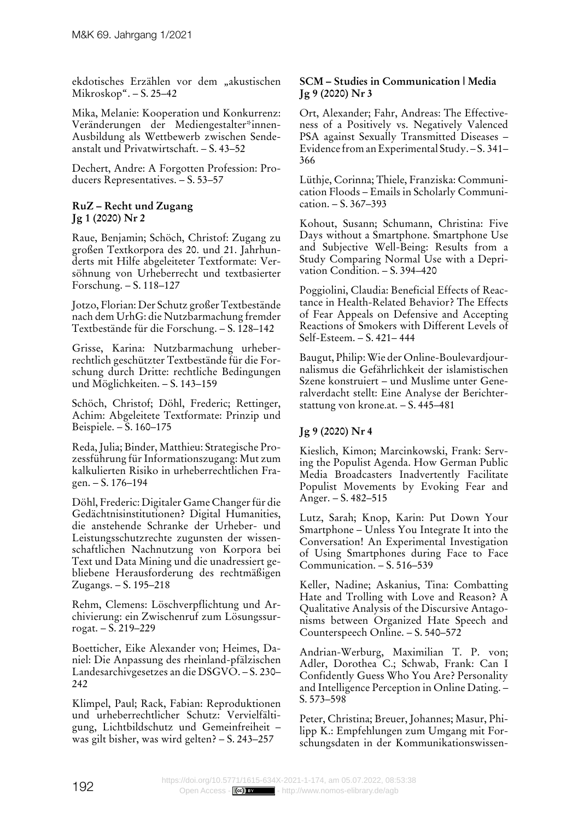ekdotisches Erzählen vor dem "akustischen Mikroskop". – S. 25–42

Mika, Melanie: Kooperation und Konkurrenz: Veränderungen der Mediengestalter\*innen-Ausbildung als Wettbewerb zwischen Sendeanstalt und Privatwirtschaft. – S. 43–52

Dechert, Andre: A Forgotten Profession: Producers Representatives. – S. 53–57

## **RuZ – Recht und Zugang Jg 1 (2020) Nr 2**

Raue, Benjamin; Schöch, Christof: Zugang zu großen Textkorpora des 20. und 21. Jahrhunderts mit Hilfe abgeleiteter Textformate: Versöhnung von Urheberrecht und textbasierter Forschung. – S. 118–127

Jotzo, Florian: Der Schutz großer Textbestände nach dem UrhG: die Nutzbarmachung fremder Textbestände für die Forschung. – S. 128–142

Grisse, Karina: Nutzbarmachung urheberrechtlich geschützter Textbestände für die Forschung durch Dritte: rechtliche Bedingungen und Möglichkeiten. – S. 143–159

Schöch, Christof; Döhl, Frederic; Rettinger, Achim: Abgeleitete Textformate: Prinzip und Beispiele. – S. 160–175

Reda, Julia; Binder, Matthieu: Strategische Prozessführung für Informationszugang: Mut zum kalkulierten Risiko in urheberrechtlichen Fragen. – S. 176–194

Döhl, Frederic: Digitaler Game Changer für die Gedächtnisinstitutionen? Digital Humanities, die anstehende Schranke der Urheber- und Leistungsschutzrechte zugunsten der wissenschaftlichen Nachnutzung von Korpora bei Text und Data Mining und die unadressiert gebliebene Herausforderung des rechtmäßigen Zugangs. – S. 195–218

Rehm, Clemens: Löschverpflichtung und Archivierung: ein Zwischenruf zum Lösungssurrogat. – S. 219–229

Boetticher, Eike Alexander von; Heimes, Daniel: Die Anpassung des rheinland-pfälzischen Landesarchivgesetzes an die DSGVO. – S. 230– 242

Klimpel, Paul; Rack, Fabian: Reproduktionen und urheberrechtlicher Schutz: Vervielfältigung, Lichtbildschutz und Gemeinfreiheit – was gilt bisher, was wird gelten? – S. 243–257

#### **SCM – Studies in Communication | Media Jg 9 (2020) Nr 3**

Ort, Alexander; Fahr, Andreas: The Effectiveness of a Positively vs. Negatively Valenced PSA against Sexually Transmitted Diseases – Evidence from an Experimental Study. – S. 341– 366

Lüthje, Corinna; Thiele, Franziska: Communication Floods – Emails in Scholarly Communication. – S. 367–393

Kohout, Susann; Schumann, Christina: Five Days without a Smartphone. Smartphone Use and Subjective Well-Being: Results from a Study Comparing Normal Use with a Deprivation Condition. – S. 394–420

Poggiolini, Claudia: Beneficial Effects of Reactance in Health-Related Behavior? The Effects of Fear Appeals on Defensive and Accepting Reactions of Smokers with Different Levels of Self-Esteem. – S. 421– 444

Baugut, Philip: Wie der Online-Boulevardjournalismus die Gefährlichkeit der islamistischen Szene konstruiert – und Muslime unter Generalverdacht stellt: Eine Analyse der Berichterstattung von krone.at. – S. 445–481

# **Jg 9 (2020) Nr 4**

Kieslich, Kimon; Marcinkowski, Frank: Serving the Populist Agenda. How German Public Media Broadcasters Inadvertently Facilitate Populist Movements by Evoking Fear and Anger. – S. 482–515

Lutz, Sarah; Knop, Karin: Put Down Your Smartphone – Unless You Integrate It into the Conversation! An Experimental Investigation of Using Smartphones during Face to Face Communication. – S. 516–539

Keller, Nadine; Askanius, Tina: Combatting Hate and Trolling with Love and Reason? A Qualitative Analysis of the Discursive Antagonisms between Organized Hate Speech and Counterspeech Online. – S. 540–572

Andrian-Werburg, Maximilian T. P. von; Adler, Dorothea C.; Schwab, Frank: Can I Confidently Guess Who You Are? Personality and Intelligence Perception in Online Dating. – S. 573–598

Peter, Christina; Breuer, Johannes; Masur, Philipp K.: Empfehlungen zum Umgang mit Forschungsdaten in der Kommunikationswissen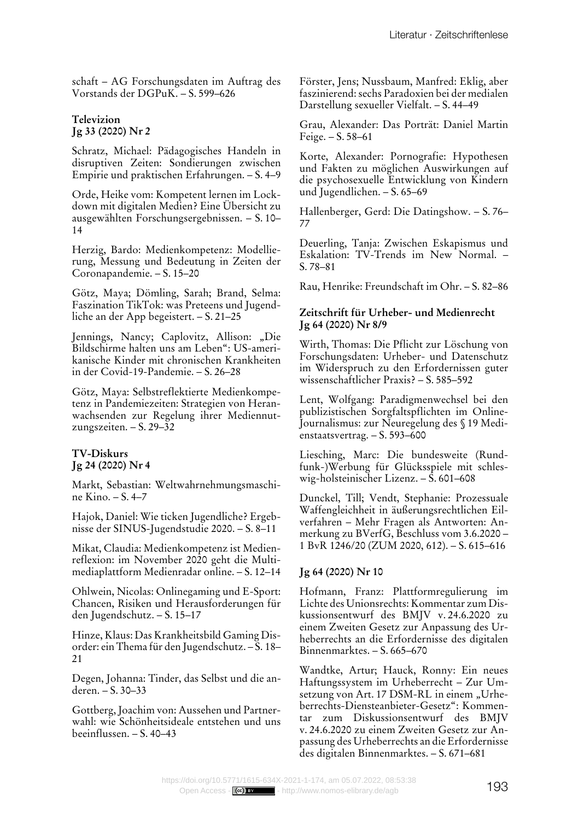schaft – AG Forschungsdaten im Auftrag des Vorstands der DGPuK. – S. 599–626

## **Televizion Jg 33 (2020) Nr 2**

Schratz, Michael: Pädagogisches Handeln in disruptiven Zeiten: Sondierungen zwischen Empirie und praktischen Erfahrungen. – S. 4–9

Orde, Heike vom: Kompetent lernen im Lockdown mit digitalen Medien? Eine Übersicht zu ausgewählten Forschungsergebnissen. – S. 10– 14

Herzig, Bardo: Medienkompetenz: Modellierung, Messung und Bedeutung in Zeiten der Coronapandemie. – S. 15–20

Götz, Maya; Dömling, Sarah; Brand, Selma: Faszination TikTok: was Preteens und Jugendliche an der App begeistert. – S. 21–25

Jennings, Nancy; Caplovitz, Allison: "Die Bildschirme halten uns am Leben": US-amerikanische Kinder mit chronischen Krankheiten in der Covid-19-Pandemie. – S. 26–28

Götz, Maya: Selbstreflektierte Medienkompetenz in Pandemiezeiten: Strategien von Heranwachsenden zur Regelung ihrer Mediennutzungszeiten. – S. 29–32

## **TV-Diskurs Jg 24 (2020) Nr 4**

Markt, Sebastian: Weltwahrnehmungsmaschine Kino. – S. 4–7

Hajok, Daniel: Wie ticken Jugendliche? Ergebnisse der SINUS-Jugendstudie 2020. – S. 8–11

Mikat, Claudia: Medienkompetenz ist Medienreflexion: im November 2020 geht die Multimediaplattform Medienradar online. – S. 12–14

Ohlwein, Nicolas: Onlinegaming und E-Sport: Chancen, Risiken und Herausforderungen für den Jugendschutz. – S. 15–17

Hinze, Klaus: Das Krankheitsbild Gaming Disorder: ein Thema für den Jugendschutz. – S. 18– 21

Degen, Johanna: Tinder, das Selbst und die anderen. – S. 30–33

Gottberg, Joachim von: Aussehen und Partnerwahl: wie Schönheitsideale entstehen und uns beeinflussen. – S. 40–43

Förster, Jens; Nussbaum, Manfred: Eklig, aber faszinierend: sechs Paradoxien bei der medialen Darstellung sexueller Vielfalt. – S. 44–49

Grau, Alexander: Das Porträt: Daniel Martin Feige. – S. 58–61

Korte, Alexander: Pornografie: Hypothesen und Fakten zu möglichen Auswirkungen auf die psychosexuelle Entwicklung von Kindern und Jugendlichen. – S. 65–69

Hallenberger, Gerd: Die Datingshow. – S. 76– 77

Deuerling, Tanja: Zwischen Eskapismus und Eskalation: TV-Trends im New Normal. – S. 78–81

Rau, Henrike: Freundschaft im Ohr. – S. 82–86

## **Zeitschrift für Urheber- und Medienrecht Jg 64 (2020) Nr 8/9**

Wirth, Thomas: Die Pflicht zur Löschung von Forschungsdaten: Urheber- und Datenschutz im Widerspruch zu den Erfordernissen guter wissenschaftlicher Praxis? – S. 585–592

Lent, Wolfgang: Paradigmenwechsel bei den publizistischen Sorgfaltspflichten im Online-Journalismus: zur Neuregelung des § 19 Medienstaatsvertrag. – S. 593–600

Liesching, Marc: Die bundesweite (Rundfunk-)Werbung für Glücksspiele mit schleswig-holsteinischer Lizenz. – S. 601–608

Dunckel, Till; Vendt, Stephanie: Prozessuale Waffengleichheit in äußerungsrechtlichen Eilverfahren – Mehr Fragen als Antworten: Anmerkung zu BVerfG, Beschluss vom 3.6.2020 – 1 BvR 1246/20 (ZUM 2020, 612). – S. 615–616

# **Jg 64 (2020) Nr 10**

Hofmann, Franz: Plattformregulierung im Lichte des Unionsrechts: Kommentar zum Diskussionsentwurf des BMJV v. 24.6.2020 zu einem Zweiten Gesetz zur Anpassung des Urheberrechts an die Erfordernisse des digitalen Binnenmarktes. – S. 665–670

Wandtke, Artur; Hauck, Ronny: Ein neues Haftungssystem im Urheberrecht – Zur Umsetzung von Art. 17 DSM-RL in einem "Urheberrechts-Diensteanbieter-Gesetz": Kommentar zum Diskussionsentwurf des BMJV v. 24.6.2020 zu einem Zweiten Gesetz zur Anpassung des Urheberrechts an die Erfordernisse des digitalen Binnenmarktes. – S. 671–681

<https://doi.org/10.5771/1615-634X-2021-1-174>, am 05.07.2022, 08:53:38<br>Open Access - **[[«•)] sx = = http://www.nomos-elibrary.**de/agb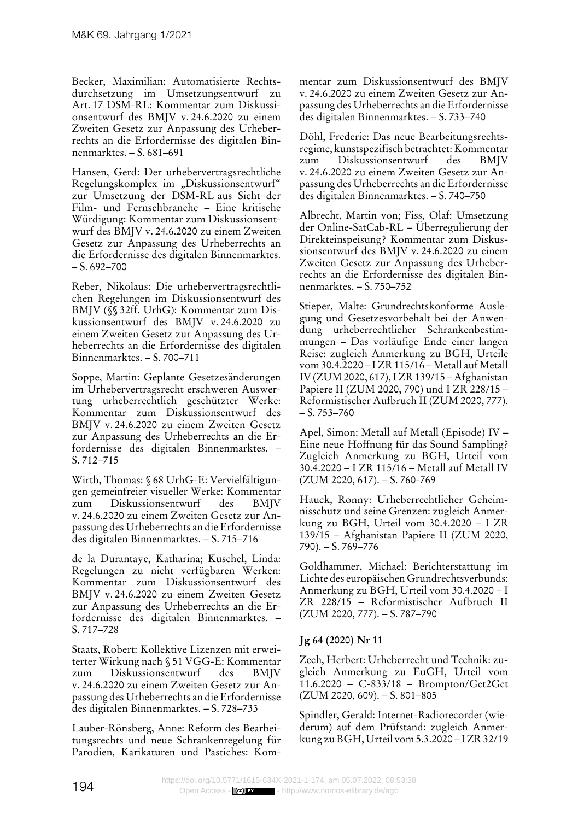Becker, Maximilian: Automatisierte Rechtsdurchsetzung im Umsetzungsentwurf zu Art. 17 DSM-RL: Kommentar zum Diskussionsentwurf des BMJV v. 24.6.2020 zu einem Zweiten Gesetz zur Anpassung des Urheberrechts an die Erfordernisse des digitalen Binnenmarktes. – S. 681–691

Hansen, Gerd: Der urhebervertragsrechtliche Regelungskomplex im "Diskussionsentwurf" zur Umsetzung der DSM-RL aus Sicht der Film- und Fernsehbranche – Eine kritische Würdigung: Kommentar zum Diskussionsentwurf des BMJV v. 24.6.2020 zu einem Zweiten Gesetz zur Anpassung des Urheberrechts an die Erfordernisse des digitalen Binnenmarktes.  $- S. 692 - 700$ 

Reber, Nikolaus: Die urhebervertragsrechtlichen Regelungen im Diskussionsentwurf des BMJV (§§ 32ff. UrhG): Kommentar zum Diskussionsentwurf des BMJV v. 24.6.2020 zu einem Zweiten Gesetz zur Anpassung des Urheberrechts an die Erfordernisse des digitalen Binnenmarktes. – S. 700–711

Soppe, Martin: Geplante Gesetzesänderungen im Urhebervertragsrecht erschweren Auswertung urheberrechtlich geschützter Werke: Kommentar zum Diskussionsentwurf des BMJV v. 24.6.2020 zu einem Zweiten Gesetz zur Anpassung des Urheberrechts an die Erfordernisse des digitalen Binnenmarktes. – S. 712–715

Wirth, Thomas: § 68 UrhG-E: Vervielfältigungen gemeinfreier visueller Werke: Kommentar zum Diskussionsentwurf des BMJV v. 24.6.2020 zu einem Zweiten Gesetz zur Anpassung des Urheberrechts an die Erfordernisse des digitalen Binnenmarktes. – S. 715–716

de la Durantaye, Katharina; Kuschel, Linda: Regelungen zu nicht verfügbaren Werken: Kommentar zum Diskussionsentwurf des BMJV v. 24.6.2020 zu einem Zweiten Gesetz zur Anpassung des Urheberrechts an die Erfordernisse des digitalen Binnenmarktes. – S. 717–728

Staats, Robert: Kollektive Lizenzen mit erweiterter Wirkung nach § 51 VGG-E: Kommentar zum Diskussionsentwurf des BMJV v. 24.6.2020 zu einem Zweiten Gesetz zur Anpassung des Urheberrechts an die Erfordernisse des digitalen Binnenmarktes. – S. 728–733

Lauber-Rönsberg, Anne: Reform des Bearbeitungsrechts und neue Schrankenregelung für Parodien, Karikaturen und Pastiches: Kommentar zum Diskussionsentwurf des BMJV v. 24.6.2020 zu einem Zweiten Gesetz zur Anpassung des Urheberrechts an die Erfordernisse des digitalen Binnenmarktes. – S. 733–740

Döhl, Frederic: Das neue Bearbeitungsrechtsregime, kunstspezifisch betrachtet: Kommentar zum Diskussionsentwurf des BMJV v. 24.6.2020 zu einem Zweiten Gesetz zur Anpassung des Urheberrechts an die Erfordernisse des digitalen Binnenmarktes. – S. 740–750

Albrecht, Martin von; Fiss, Olaf: Umsetzung der Online-SatCab-RL – Überregulierung der Direkteinspeisung? Kommentar zum Diskussionsentwurf des BMJV v. 24.6.2020 zu einem Zweiten Gesetz zur Anpassung des Urheberrechts an die Erfordernisse des digitalen Binnenmarktes. – S. 750–752

Stieper, Malte: Grundrechtskonforme Auslegung und Gesetzesvorbehalt bei der Anwendung urheberrechtlicher Schrankenbestimmungen – Das vorläufige Ende einer langen Reise: zugleich Anmerkung zu BGH, Urteile vom 30.4.2020 – I ZR 115/16 – Metall auf Metall IV (ZUM 2020, 617), I ZR 139/15 – Afghanistan Papiere II (ZUM 2020, 790) und I ZR 228/15 – Reformistischer Aufbruch II (ZUM 2020, 777).  $- S. 753 - 760$ 

Apel, Simon: Metall auf Metall (Episode) IV – Eine neue Hoffnung für das Sound Sampling? Zugleich Anmerkung zu BGH, Urteil vom 30.4.2020 – I ZR 115/16 – Metall auf Metall IV (ZUM 2020, 617). – S. 760-769

Hauck, Ronny: Urheberrechtlicher Geheimnisschutz und seine Grenzen: zugleich Anmerkung zu BGH, Urteil vom 30.4.2020 – I ZR 139/15 – Afghanistan Papiere II (ZUM 2020, 790). – S. 769–776

Goldhammer, Michael: Berichterstattung im Lichte des europäischen Grundrechtsverbunds: Anmerkung zu BGH, Urteil vom 30.4.2020 – I ZR 228/15 – Reformistischer Aufbruch II (ZUM 2020, 777). – S. 787–790

# **Jg 64 (2020) Nr 11**

Zech, Herbert: Urheberrecht und Technik: zugleich Anmerkung zu EuGH, Urteil vom 11.6.2020 – C-833/18 – Brompton/Get2Get (ZUM 2020, 609). – S. 801–805

Spindler, Gerald: Internet-Radiorecorder (wiederum) auf dem Prüfstand: zugleich Anmerkung zu BGH, Urteil vom 5.3.2020 – I ZR 32/19